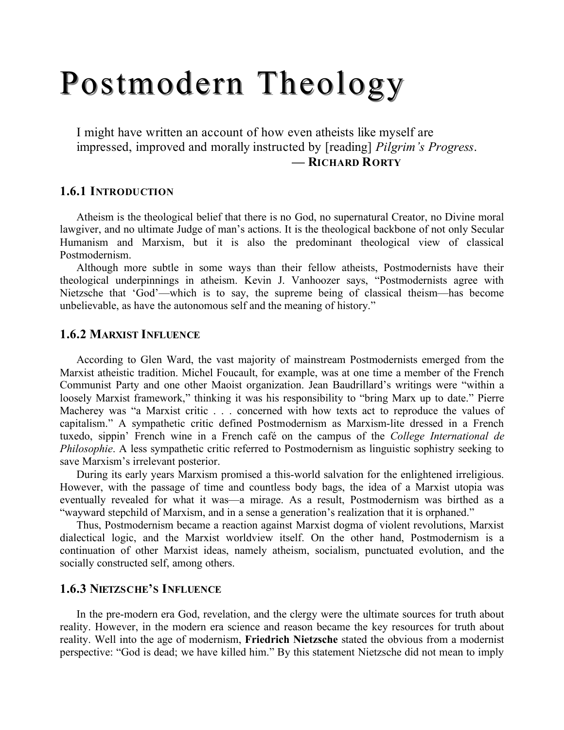# Postmodern Theology

I might have written an account of how even atheists like myself are impressed, improved and morally instructed by [reading] *Pilgrim's Progress*. **— RICHARD RORTY**

#### **1.6.1 INTRODUCTION**

Atheism is the theological belief that there is no God, no supernatural Creator, no Divine moral lawgiver, and no ultimate Judge of man's actions. It is the theological backbone of not only Secular Humanism and Marxism, but it is also the predominant theological view of classical Postmodernism.

Although more subtle in some ways than their fellow atheists, Postmodernists have their theological underpinnings in atheism. Kevin J. Vanhoozer says, "Postmodernists agree with Nietzsche that 'God'—which is to say, the supreme being of classical theism—has become unbelievable, as have the autonomous self and the meaning of history."

## **1.6.2 MARXIST INFLUENCE**

According to Glen Ward, the vast majority of mainstream Postmodernists emerged from the Marxist atheistic tradition. Michel Foucault, for example, was at one time a member of the French Communist Party and one other Maoist organization. Jean Baudrillard's writings were "within a loosely Marxist framework," thinking it was his responsibility to "bring Marx up to date." Pierre Macherey was "a Marxist critic . . . concerned with how texts act to reproduce the values of capitalism." A sympathetic critic defined Postmodernism as Marxism-lite dressed in a French tuxedo, sippin' French wine in a French café on the campus of the *College International de Philosophie*. A less sympathetic critic referred to Postmodernism as linguistic sophistry seeking to save Marxism's irrelevant posterior.

During its early years Marxism promised a this-world salvation for the enlightened irreligious. However, with the passage of time and countless body bags, the idea of a Marxist utopia was eventually revealed for what it was—a mirage. As a result, Postmodernism was birthed as a "wayward stepchild of Marxism, and in a sense a generation's realization that it is orphaned."

Thus, Postmodernism became a reaction against Marxist dogma of violent revolutions, Marxist dialectical logic, and the Marxist worldview itself. On the other hand, Postmodernism is a continuation of other Marxist ideas, namely atheism, socialism, punctuated evolution, and the socially constructed self, among others.

#### **1.6.3 NIETZSCHE'S INFLUENCE**

In the pre-modern era God, revelation, and the clergy were the ultimate sources for truth about reality. However, in the modern era science and reason became the key resources for truth about reality. Well into the age of modernism, **Friedrich Nietzsche** stated the obvious from a modernist perspective: "God is dead; we have killed him." By this statement Nietzsche did not mean to imply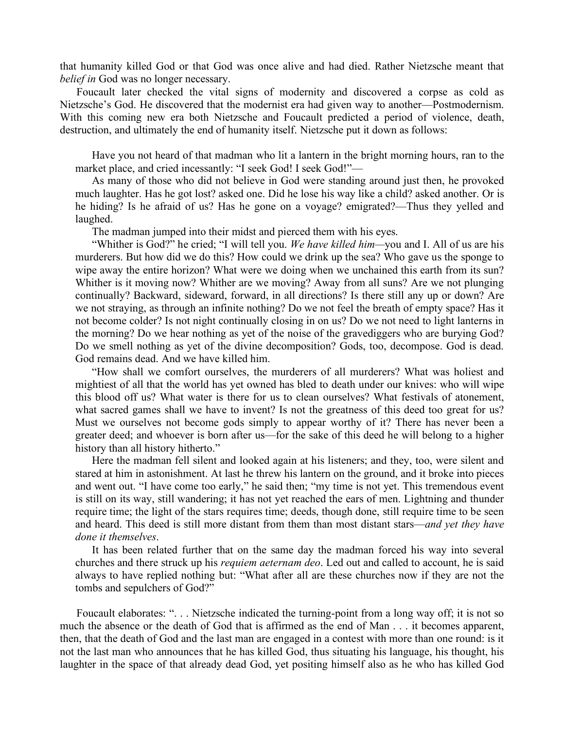that humanity killed God or that God was once alive and had died. Rather Nietzsche meant that *belief in* God was no longer necessary.

Foucault later checked the vital signs of modernity and discovered a corpse as cold as Nietzsche's God. He discovered that the modernist era had given way to another—Postmodernism. With this coming new era both Nietzsche and Foucault predicted a period of violence, death, destruction, and ultimately the end of humanity itself. Nietzsche put it down as follows:

Have you not heard of that madman who lit a lantern in the bright morning hours, ran to the market place, and cried incessantly: "I seek God! I seek God!"-

As many of those who did not believe in God were standing around just then, he provoked much laughter. Has he got lost? asked one. Did he lose his way like a child? asked another. Or is he hiding? Is he afraid of us? Has he gone on a voyage? emigrated?—Thus they yelled and laughed.

The madman jumped into their midst and pierced them with his eyes.

"Whither is God?" he cried; "I will tell you. *We have killed him—*you and I. All of us are his murderers. But how did we do this? How could we drink up the sea? Who gave us the sponge to wipe away the entire horizon? What were we doing when we unchained this earth from its sun? Whither is it moving now? Whither are we moving? Away from all suns? Are we not plunging continually? Backward, sideward, forward, in all directions? Is there still any up or down? Are we not straying, as through an infinite nothing? Do we not feel the breath of empty space? Has it not become colder? Is not night continually closing in on us? Do we not need to light lanterns in the morning? Do we hear nothing as yet of the noise of the gravediggers who are burying God? Do we smell nothing as yet of the divine decomposition? Gods, too, decompose. God is dead. God remains dead. And we have killed him.

"How shall we comfort ourselves, the murderers of all murderers? What was holiest and mightiest of all that the world has yet owned has bled to death under our knives: who will wipe this blood off us? What water is there for us to clean ourselves? What festivals of atonement, what sacred games shall we have to invent? Is not the greatness of this deed too great for us? Must we ourselves not become gods simply to appear worthy of it? There has never been a greater deed; and whoever is born after us—for the sake of this deed he will belong to a higher history than all history hitherto."

Here the madman fell silent and looked again at his listeners; and they, too, were silent and stared at him in astonishment. At last he threw his lantern on the ground, and it broke into pieces and went out. "I have come too early," he said then; "my time is not yet. This tremendous event is still on its way, still wandering; it has not yet reached the ears of men. Lightning and thunder require time; the light of the stars requires time; deeds, though done, still require time to be seen and heard. This deed is still more distant from them than most distant stars—*and yet they have done it themselves*.

It has been related further that on the same day the madman forced his way into several churches and there struck up his *requiem aeternam deo*. Led out and called to account, he is said always to have replied nothing but: "What after all are these churches now if they are not the tombs and sepulchers of God?"

Foucault elaborates: ". . . Nietzsche indicated the turning-point from a long way off; it is not so much the absence or the death of God that is affirmed as the end of Man . . . it becomes apparent, then, that the death of God and the last man are engaged in a contest with more than one round: is it not the last man who announces that he has killed God, thus situating his language, his thought, his laughter in the space of that already dead God, yet positing himself also as he who has killed God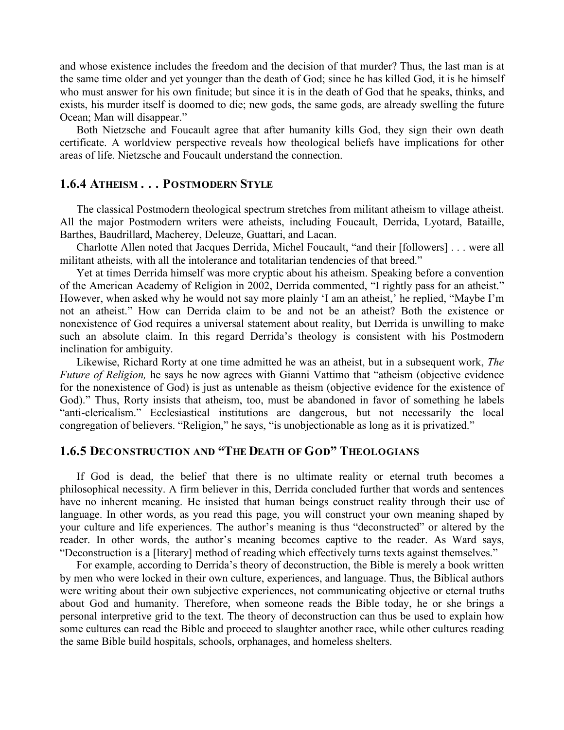and whose existence includes the freedom and the decision of that murder? Thus, the last man is at the same time older and yet younger than the death of God; since he has killed God, it is he himself who must answer for his own finitude; but since it is in the death of God that he speaks, thinks, and exists, his murder itself is doomed to die; new gods, the same gods, are already swelling the future Ocean; Man will disappear."

Both Nietzsche and Foucault agree that after humanity kills God, they sign their own death certificate. A worldview perspective reveals how theological beliefs have implications for other areas of life. Nietzsche and Foucault understand the connection.

# **1.6.4 ATHEISM . . . POSTMODERN STYLE**

The classical Postmodern theological spectrum stretches from militant atheism to village atheist. All the major Postmodern writers were atheists, including Foucault, Derrida, Lyotard, Bataille, Barthes, Baudrillard, Macherey, Deleuze, Guattari, and Lacan.

Charlotte Allen noted that Jacques Derrida, Michel Foucault, "and their [followers] . . . were all militant atheists, with all the intolerance and totalitarian tendencies of that breed."

Yet at times Derrida himself was more cryptic about his atheism. Speaking before a convention of the American Academy of Religion in 2002, Derrida commented, "I rightly pass for an atheist." However, when asked why he would not say more plainly 'I am an atheist,' he replied, "Maybe I'm not an atheist." How can Derrida claim to be and not be an atheist? Both the existence or nonexistence of God requires a universal statement about reality, but Derrida is unwilling to make such an absolute claim. In this regard Derrida's theology is consistent with his Postmodern inclination for ambiguity.

Likewise, Richard Rorty at one time admitted he was an atheist, but in a subsequent work, *The Future of Religion,* he says he now agrees with Gianni Vattimo that "atheism (objective evidence for the nonexistence of God) is just as untenable as theism (objective evidence for the existence of God)." Thus, Rorty insists that atheism, too, must be abandoned in favor of something he labels "anti-clericalism." Ecclesiastical institutions are dangerous, but not necessarily the local congregation of believers. "Religion," he says, "is unobjectionable as long as it is privatized."

# **1.6.5 DECONSTRUCTION AND "THE DEATH OF GOD" THEOLOGIANS**

If God is dead, the belief that there is no ultimate reality or eternal truth becomes a philosophical necessity. A firm believer in this, Derrida concluded further that words and sentences have no inherent meaning. He insisted that human beings construct reality through their use of language. In other words, as you read this page, you will construct your own meaning shaped by your culture and life experiences. The author's meaning is thus "deconstructed" or altered by the reader. In other words, the author's meaning becomes captive to the reader. As Ward says, "Deconstruction is a [literary] method of reading which effectively turns texts against themselves."

For example, according to Derrida's theory of deconstruction, the Bible is merely a book written by men who were locked in their own culture, experiences, and language. Thus, the Biblical authors were writing about their own subjective experiences, not communicating objective or eternal truths about God and humanity. Therefore, when someone reads the Bible today, he or she brings a personal interpretive grid to the text. The theory of deconstruction can thus be used to explain how some cultures can read the Bible and proceed to slaughter another race, while other cultures reading the same Bible build hospitals, schools, orphanages, and homeless shelters.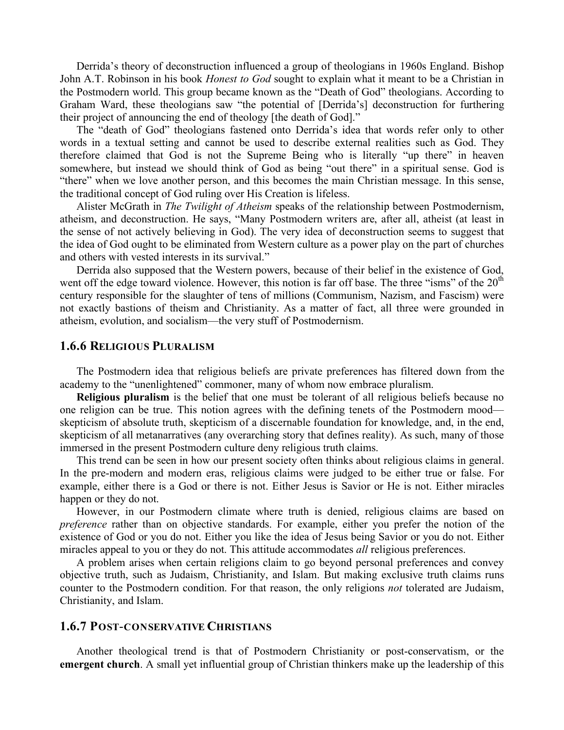Derrida's theory of deconstruction influenced a group of theologians in 1960s England. Bishop John A.T. Robinson in his book *Honest to God* sought to explain what it meant to be a Christian in the Postmodern world. This group became known as the "Death of God" theologians. According to Graham Ward, these theologians saw "the potential of [Derrida's] deconstruction for furthering their project of announcing the end of theology [the death of God]."

The "death of God" theologians fastened onto Derrida's idea that words refer only to other words in a textual setting and cannot be used to describe external realities such as God. They therefore claimed that God is not the Supreme Being who is literally "up there" in heaven somewhere, but instead we should think of God as being "out there" in a spiritual sense. God is "there" when we love another person, and this becomes the main Christian message. In this sense, the traditional concept of God ruling over His Creation is lifeless.

Alister McGrath in *The Twilight of Atheism* speaks of the relationship between Postmodernism, atheism, and deconstruction. He says, "Many Postmodern writers are, after all, atheist (at least in the sense of not actively believing in God). The very idea of deconstruction seems to suggest that the idea of God ought to be eliminated from Western culture as a power play on the part of churches and others with vested interests in its survival."

Derrida also supposed that the Western powers, because of their belief in the existence of God, went off the edge toward violence. However, this notion is far off base. The three "isms" of the  $20<sup>th</sup>$ century responsible for the slaughter of tens of millions (Communism, Nazism, and Fascism) were not exactly bastions of theism and Christianity. As a matter of fact, all three were grounded in atheism, evolution, and socialism—the very stuff of Postmodernism.

#### **1.6.6 RELIGIOUS PLURALISM**

The Postmodern idea that religious beliefs are private preferences has filtered down from the academy to the "unenlightened" commoner, many of whom now embrace pluralism.

**Religious pluralism** is the belief that one must be tolerant of all religious beliefs because no one religion can be true. This notion agrees with the defining tenets of the Postmodern mood skepticism of absolute truth, skepticism of a discernable foundation for knowledge, and, in the end, skepticism of all metanarratives (any overarching story that defines reality). As such, many of those immersed in the present Postmodern culture deny religious truth claims.

This trend can be seen in how our present society often thinks about religious claims in general. In the pre-modern and modern eras, religious claims were judged to be either true or false. For example, either there is a God or there is not. Either Jesus is Savior or He is not. Either miracles happen or they do not.

However, in our Postmodern climate where truth is denied, religious claims are based on *preference* rather than on objective standards. For example, either you prefer the notion of the existence of God or you do not. Either you like the idea of Jesus being Savior or you do not. Either miracles appeal to you or they do not. This attitude accommodates *all* religious preferences.

A problem arises when certain religions claim to go beyond personal preferences and convey objective truth, such as Judaism, Christianity, and Islam. But making exclusive truth claims runs counter to the Postmodern condition. For that reason, the only religions *not* tolerated are Judaism, Christianity, and Islam..

#### **1.6.7 POST**-**CONSERVATIVE CHRISTIANS**

Another theological trend is that of Postmodern Christianity or post-conservatism, or the **emergent church**. A small yet influential group of Christian thinkers make up the leadership of this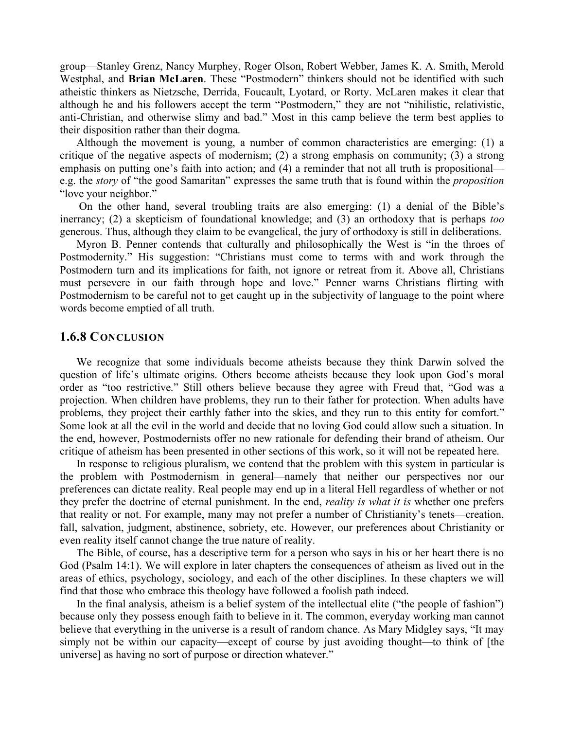group—Stanley Grenz, Nancy Murphey, Roger Olson, Robert Webber, James K. A. Smith, Merold Westphal, and **Brian McLaren**. These "Postmodern" thinkers should not be identified with such atheistic thinkers as Nietzsche, Derrida, Foucault, Lyotard, or Rorty. McLaren makes it clear that although he and his followers accept the term "Postmodern," they are not "nihilistic, relativistic, anti-Christian, and otherwise slimy and bad." Most in this camp believe the term best applies to their disposition rather than their dogma.

Although the movement is young, a number of common characteristics are emerging: (1) a critique of the negative aspects of modernism; (2) a strong emphasis on community; (3) a strong emphasis on putting one's faith into action; and (4) a reminder that not all truth is propositional e.g. the *story* of "the good Samaritan" expresses the same truth that is found within the *proposition* "love your neighbor."

On the other hand, several troubling traits are also emerging: (1) a denial of the Bible's inerrancy; (2) a skepticism of foundational knowledge; and (3) an orthodoxy that is perhaps *too* generous. Thus, although they claim to be evangelical, the jury of orthodoxy is still in deliberations.

Myron B. Penner contends that culturally and philosophically the West is "in the throes of Postmodernity." His suggestion: "Christians must come to terms with and work through the Postmodern turn and its implications for faith, not ignore or retreat from it. Above all, Christians must persevere in our faith through hope and love." Penner warns Christians flirting with Postmodernism to be careful not to get caught up in the subjectivity of language to the point where words become emptied of all truth.

#### **1.6.8 CONCLUSION**

We recognize that some individuals become atheists because they think Darwin solved the question of life's ultimate origins. Others become atheists because they look upon God's moral order as "too restrictive." Still others believe because they agree with Freud that, "God was a projection. When children have problems, they run to their father for protection. When adults have problems, they project their earthly father into the skies, and they run to this entity for comfort." Some look at all the evil in the world and decide that no loving God could allow such a situation. In the end, however, Postmodernists offer no new rationale for defending their brand of atheism. Our critique of atheism has been presented in other sections of this work, so it will not be repeated here.

In response to religious pluralism, we contend that the problem with this system in particular is the problem with Postmodernism in general—namely that neither our perspectives nor our preferences can dictate reality. Real people may end up in a literal Hell regardless of whether or not they prefer the doctrine of eternal punishment. In the end, *reality is what it is* whether one prefers that reality or not. For example, many may not prefer a number of Christianity's tenets—creation, fall, salvation, judgment, abstinence, sobriety, etc. However, our preferences about Christianity or even reality itself cannot change the true nature of reality.

The Bible, of course, has a descriptive term for a person who says in his or her heart there is no God (Psalm 14:1). We will explore in later chapters the consequences of atheism as lived out in the areas of ethics, psychology, sociology, and each of the other disciplines. In these chapters we will find that those who embrace this theology have followed a foolish path indeed.

In the final analysis, atheism is a belief system of the intellectual elite ("the people of fashion") because only they possess enough faith to believe in it. The common, everyday working man cannot believe that everything in the universe is a result of random chance. As Mary Midgley says, "It may simply not be within our capacity—except of course by just avoiding thought—to think of [the universe] as having no sort of purpose or direction whatever."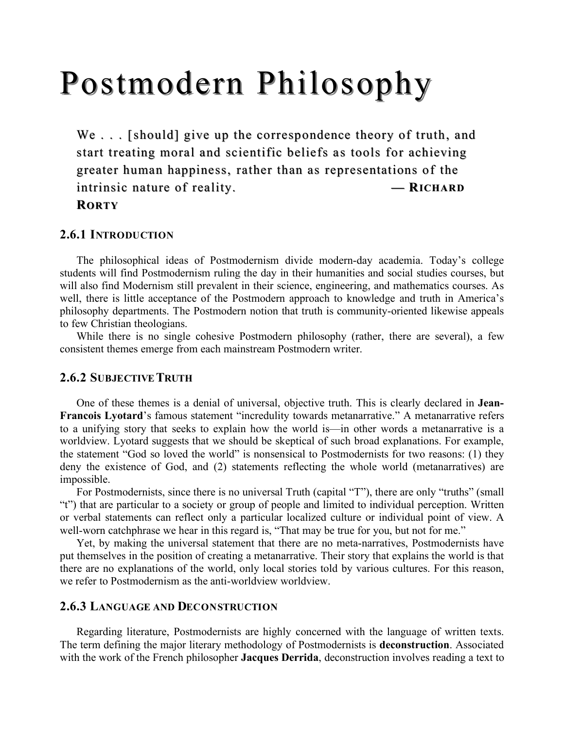# Postmodern Philosophy

We ... [should] give up the correspondence theory of truth, and start treating moral and scientific beliefs as tools for achieving greater human happiness, rather than as representations of the intrinsic nature of reality. **— RICHARD RORTY**

# **2.6.1 INTRODUCTION**

The philosophical ideas of Postmodernism divide modern-day academia. Today's college students will find Postmodernism ruling the day in their humanities and social studies courses, but will also find Modernism still prevalent in their science, engineering, and mathematics courses. As well, there is little acceptance of the Postmodern approach to knowledge and truth in America's philosophy departments. The Postmodern notion that truth is community-oriented likewise appeals to few Christian theologians.

While there is no single cohesive Postmodern philosophy (rather, there are several), a few consistent themes emerge from each mainstream Postmodern writer.

### **2.6.2 SUBJECTIVETRUTH**

One of these themes is a denial of universal, objective truth. This is clearly declared in **Jean-Francois Lyotard**'s famous statement "incredulity towards metanarrative." A metanarrative refers to a unifying story that seeks to explain how the world is—in other words a metanarrative is a worldview. Lyotard suggests that we should be skeptical of such broad explanations. For example, the statement "God so loved the world" is nonsensical to Postmodernists for two reasons: (1) they deny the existence of God, and (2) statements reflecting the whole world (metanarratives) are impossible.

For Postmodernists, since there is no universal Truth (capital "T"), there are only "truths" (small "t") that are particular to a society or group of people and limited to individual perception. Written or verbal statements can reflect only a particular localized culture or individual point of view. A well-worn catchphrase we hear in this regard is, "That may be true for you, but not for me."

Yet, by making the universal statement that there are no meta-narratives, Postmodernists have put themselves in the position of creating a metanarrative. Their story that explains the world is that there are no explanations of the world, only local stories told by various cultures. For this reason, we refer to Postmodernism as the anti-worldview worldview.

#### **2.6.3 LANGUAGE AND DECONSTRUCTION**

Regarding literature, Postmodernists are highly concerned with the language of written texts. The term defining the major literary methodology of Postmodernists is **deconstruction**. Associated with the work of the French philosopher **Jacques Derrida**, deconstruction involves reading a text to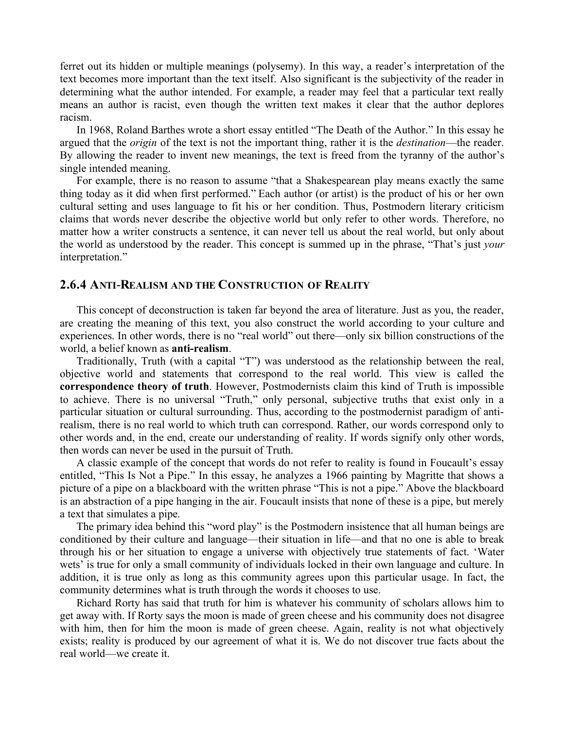ferret out its hidden or multiple meanings (polysemy). In this way, a reader's interpretation of the text becomes more important than the text itself. Also significant is the subjectivity of the reader in determining what the author intended. For example, a reader may feel that a particular text really means an author is racist, even though the written text makes it clear that the author deplores racism.

In 1968, Roland Barthes wrote a short essay entitled "The Death of the Author." In this essay he argued that the *origin* of the text is not the important thing, rather it is the *destination*—the reader. By allowing the reader to invent new meanings, the text is freed from the tyranny of the author's single intended meaning.

For example, there is no reason to assume "that a Shakespearean play means exactly the same thing today as it did when first performed." Each author (or artist) is the product of his or her own cultural setting and uses language to fit his or her condition. Thus, Postmodern literary criticism claims that words never describe the objective world but only refer to other words. Therefore, no matter how a writer constructs a sentence, it can never tell us about the real world, but only about the world as understood by the reader. This concept is summed up in the phrase, "That's just *your* interpretation."

#### **2.6.4 ANTI**-**REALISM AND THE CONSTRUCTION OF REALITY**

This concept of deconstruction is taken far beyond the area of literature. Just as you, the reader, are creating the meaning of this text, you also construct the world according to your culture and experiences. In other words, there is no "real world" out there—only six billion constructions of the world, a belief known as **anti-realism**.

Traditionally, Truth (with a capital "T") was understood as the relationship between the real, objective world and statements that correspond to the real world. This view is called the **correspondence theory of truth**. However, Postmodernists claim this kind of Truth is impossible to achieve. There is no universal "Truth," only personal, subjective truths that exist only in a particular situation or cultural surrounding. Thus, according to the postmodernist paradigm of antirealism, there is no real world to which truth can correspond. Rather, our words correspond only to other words and, in the end, create our understanding of reality. If words signify only other words, then words can never be used in the pursuit of Truth.

A classic example of the concept that words do not refer to reality is found in Foucault's essay entitled, "This Is Not a Pipe." In this essay, he analyzes a 1966 painting by Magritte that shows a picture of a pipe on a blackboard with the written phrase "This is not a pipe." Above the blackboard is an abstraction of a pipe hanging in the air. Foucault insists that none of these is a pipe, but merely a text that simulates a pipe.

The primary idea behind this "word play" is the Postmodern insistence that all human beings are conditioned by their culture and language—their situation in life—and that no one is able to break through his or her situation to engage a universe with objectively true statements of fact. 'Water wets' is true for only a small community of individuals locked in their own language and culture. In addition, it is true only as long as this community agrees upon this particular usage. In fact, the community determines what is truth through the words it chooses to use.

Richard Rorty has said that truth for him is whatever his community of scholars allows him to get away with. If Rorty says the moon is made of green cheese and his community does not disagree with him, then for him the moon is made of green cheese. Again, reality is not what objectively exists; reality is produced by our agreement of what it is. We do not discover true facts about the real world—we create it.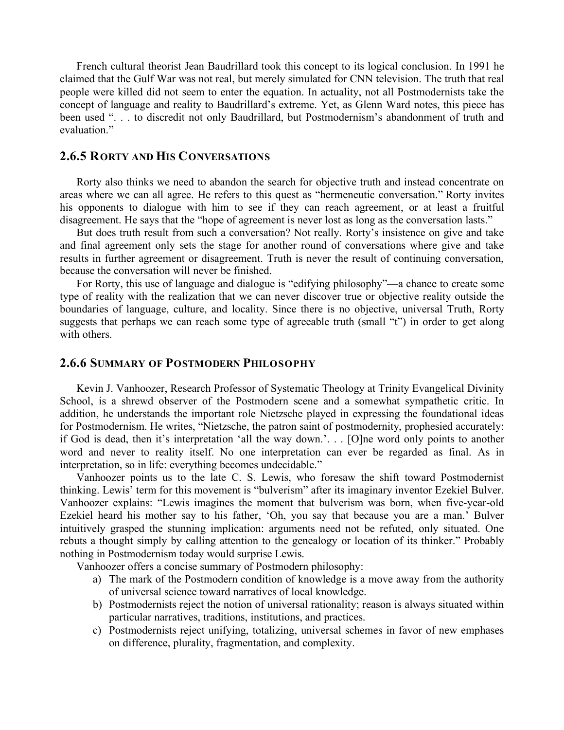French cultural theorist Jean Baudrillard took this concept to its logical conclusion. In 1991 he claimed that the Gulf War was not real, but merely simulated for CNN television. The truth that real people were killed did not seem to enter the equation. In actuality, not all Postmodernists take the concept of language and reality to Baudrillard's extreme. Yet, as Glenn Ward notes, this piece has been used ". . . to discredit not only Baudrillard, but Postmodernism's abandonment of truth and evaluation."

#### **2.6.5 RORTY AND HIS CONVERSATIONS**

Rorty also thinks we need to abandon the search for objective truth and instead concentrate on areas where we can all agree. He refers to this quest as "hermeneutic conversation." Rorty invites his opponents to dialogue with him to see if they can reach agreement, or at least a fruitful disagreement. He says that the "hope of agreement is never lost as long as the conversation lasts."

But does truth result from such a conversation? Not really. Rorty's insistence on give and take and final agreement only sets the stage for another round of conversations where give and take results in further agreement or disagreement. Truth is never the result of continuing conversation, because the conversation will never be finished.

For Rorty, this use of language and dialogue is "edifying philosophy"—a chance to create some type of reality with the realization that we can never discover true or objective reality outside the boundaries of language, culture, and locality. Since there is no objective, universal Truth, Rorty suggests that perhaps we can reach some type of agreeable truth (small "t") in order to get along with others.

#### **2.6.6 SUMMARY OF POSTMODERN PHILOSOPHY**

Kevin J. Vanhoozer, Research Professor of Systematic Theology at Trinity Evangelical Divinity School, is a shrewd observer of the Postmodern scene and a somewhat sympathetic critic. In addition, he understands the important role Nietzsche played in expressing the foundational ideas for Postmodernism. He writes, "Nietzsche, the patron saint of postmodernity, prophesied accurately: if God is dead, then it's interpretation 'all the way down.'. . . [O]ne word only points to another word and never to reality itself. No one interpretation can ever be regarded as final. As in interpretation, so in life: everything becomes undecidable."

Vanhoozer points us to the late C. S. Lewis, who foresaw the shift toward Postmodernist thinking. Lewis' term for this movement is "bulverism" after its imaginary inventor Ezekiel Bulver. Vanhoozer explains: "Lewis imagines the moment that bulverism was born, when five-year-old Ezekiel heard his mother say to his father, 'Oh, you say that because you are a man.' Bulver intuitively grasped the stunning implication: arguments need not be refuted, only situated. One rebuts a thought simply by calling attention to the genealogy or location of its thinker." Probably nothing in Postmodernism today would surprise Lewis.

Vanhoozer offers a concise summary of Postmodern philosophy:

- a) The mark of the Postmodern condition of knowledge is a move away from the authority of universal science toward narratives of local knowledge.
- b) Postmodernists reject the notion of universal rationality; reason is always situated within particular narratives, traditions, institutions, and practices.
- c) Postmodernists reject unifying, totalizing, universal schemes in favor of new emphases on difference, plurality, fragmentation, and complexity.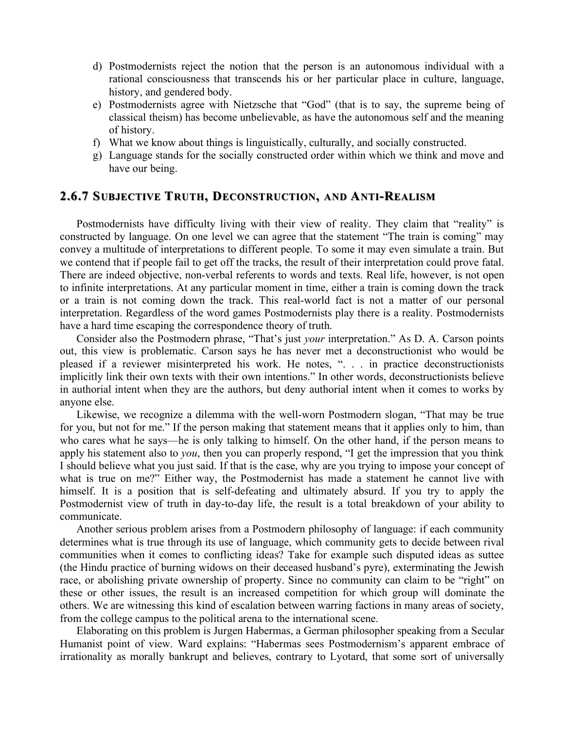- d) Postmodernists reject the notion that the person is an autonomous individual with a rational consciousness that transcends his or her particular place in culture, language, history, and gendered body.
- e) Postmodernists agree with Nietzsche that "God" (that is to say, the supreme being of classical theism) has become unbelievable, as have the autonomous self and the meaning of history.
- f) What we know about things is linguistically, culturally, and socially constructed.
- g) Language stands for the socially constructed order within which we think and move and have our being.

#### **2.6.7 SUBJECTIVE TRUTH, DECONSTRUCTION, AND ANTI-REALISM**

Postmodernists have difficulty living with their view of reality. They claim that "reality" is constructed by language. On one level we can agree that the statement "The train is coming" may convey a multitude of interpretations to different people. To some it may even simulate a train. But we contend that if people fail to get off the tracks, the result of their interpretation could prove fatal. There are indeed objective, non-verbal referents to words and texts. Real life, however, is not open to infinite interpretations. At any particular moment in time, either a train is coming down the track or a train is not coming down the track. This real-world fact is not a matter of our personal interpretation. Regardless of the word games Postmodernists play there is a reality. Postmodernists have a hard time escaping the correspondence theory of truth.

Consider also the Postmodern phrase, "That's just *your* interpretation." As D. A. Carson points out, this view is problematic. Carson says he has never met a deconstructionist who would be pleased if a reviewer misinterpreted his work. He notes, ". . . in practice deconstructionists implicitly link their own texts with their own intentions." In other words, deconstructionists believe in authorial intent when they are the authors, but deny authorial intent when it comes to works by anyone else.

Likewise, we recognize a dilemma with the well-worn Postmodern slogan, "That may be true for you, but not for me." If the person making that statement means that it applies only to him, than who cares what he says—he is only talking to himself. On the other hand, if the person means to apply his statement also to *you*, then you can properly respond, "I get the impression that you think I should believe what you just said. If that is the case, why are you trying to impose your concept of what is true on me?" Either way, the Postmodernist has made a statement he cannot live with himself. It is a position that is self-defeating and ultimately absurd. If you try to apply the Postmodernist view of truth in day-to-day life, the result is a total breakdown of your ability to communicate.

Another serious problem arises from a Postmodern philosophy of language: if each community determines what is true through its use of language, which community gets to decide between rival communities when it comes to conflicting ideas? Take for example such disputed ideas as suttee (the Hindu practice of burning widows on their deceased husband's pyre), exterminating the Jewish race, or abolishing private ownership of property. Since no community can claim to be "right" on these or other issues, the result is an increased competition for which group will dominate the others. We are witnessing this kind of escalation between warring factions in many areas of society, from the college campus to the political arena to the international scene.

Elaborating on this problem is Jurgen Habermas, a German philosopher speaking from a Secular Humanist point of view. Ward explains: "Habermas sees Postmodernism's apparent embrace of irrationality as morally bankrupt and believes, contrary to Lyotard, that some sort of universally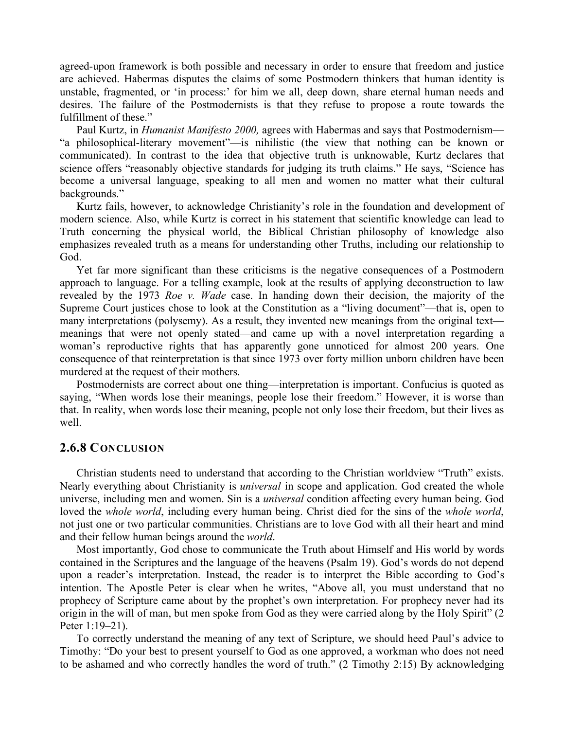agreed-upon framework is both possible and necessary in order to ensure that freedom and justice are achieved. Habermas disputes the claims of some Postmodern thinkers that human identity is unstable, fragmented, or 'in process:' for him we all, deep down, share eternal human needs and desires. The failure of the Postmodernists is that they refuse to propose a route towards the fulfillment of these."

Paul Kurtz, in *Humanist Manifesto 2000,* agrees with Habermas and says that Postmodernism— "a philosophical-literary movement"—is nihilistic (the view that nothing can be known or communicated). In contrast to the idea that objective truth is unknowable, Kurtz declares that science offers "reasonably objective standards for judging its truth claims." He says, "Science has become a universal language, speaking to all men and women no matter what their cultural backgrounds."

Kurtz fails, however, to acknowledge Christianity's role in the foundation and development of modern science. Also, while Kurtz is correct in his statement that scientific knowledge can lead to Truth concerning the physical world, the Biblical Christian philosophy of knowledge also emphasizes revealed truth as a means for understanding other Truths, including our relationship to God.

Yet far more significant than these criticisms is the negative consequences of a Postmodern approach to language. For a telling example, look at the results of applying deconstruction to law revealed by the 1973 *Roe v. Wade* case. In handing down their decision, the majority of the Supreme Court justices chose to look at the Constitution as a "living document"—that is, open to many interpretations (polysemy). As a result, they invented new meanings from the original text meanings that were not openly stated—and came up with a novel interpretation regarding a woman's reproductive rights that has apparently gone unnoticed for almost 200 years. One consequence of that reinterpretation is that since 1973 over forty million unborn children have been murdered at the request of their mothers.

Postmodernists are correct about one thing—interpretation is important. Confucius is quoted as saying, "When words lose their meanings, people lose their freedom." However, it is worse than that. In reality, when words lose their meaning, people not only lose their freedom, but their lives as well.

#### **2.6.8 CONCLUSION**

Christian students need to understand that according to the Christian worldview "Truth" exists. Nearly everything about Christianity is *universal* in scope and application. God created the whole universe, including men and women. Sin is a *universal* condition affecting every human being. God loved the *whole world*, including every human being. Christ died for the sins of the *whole world*, not just one or two particular communities. Christians are to love God with all their heart and mind and their fellow human beings around the *world*.

Most importantly, God chose to communicate the Truth about Himself and His world by words contained in the Scriptures and the language of the heavens (Psalm 19). God's words do not depend upon a reader's interpretation. Instead, the reader is to interpret the Bible according to God's intention. The Apostle Peter is clear when he writes, "Above all, you must understand that no prophecy of Scripture came about by the prophet's own interpretation. For prophecy never had its origin in the will of man, but men spoke from God as they were carried along by the Holy Spirit" (2 Peter 1:19–21).

To correctly understand the meaning of any text of Scripture, we should heed Paul's advice to Timothy: "Do your best to present yourself to God as one approved, a workman who does not need to be ashamed and who correctly handles the word of truth." (2 Timothy 2:15) By acknowledging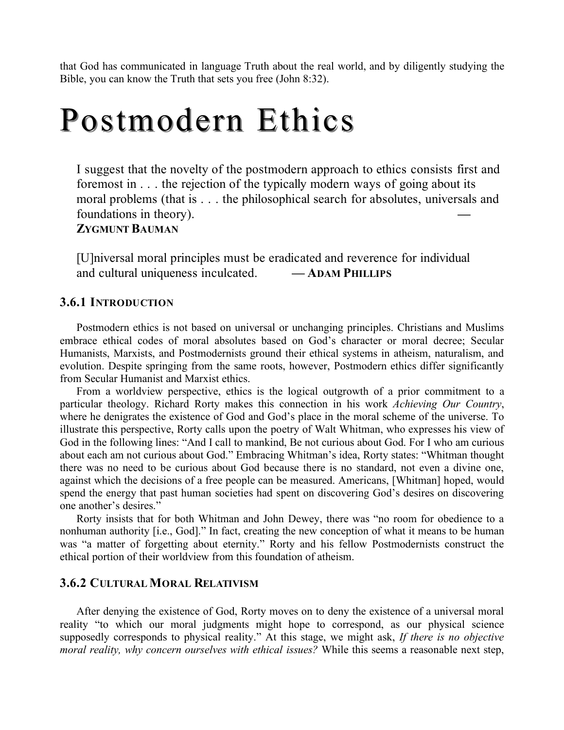that God has communicated in language Truth about the real world, and by diligently studying the Bible, you can know the Truth that sets you free (John 8:32).

# Postmodern Ethics

I suggest that the novelty of the postmodern approach to ethics consists first and foremost in . . . the rejection of the typically modern ways of going about its moral problems (that is . . . the philosophical search for absolutes, universals and foundations in theory). **—**

# **ZYGMUNT BAUMAN**

[U]niversal moral principles must be eradicated and reverence for individual and cultural uniqueness inculcated. **— ADAM PHILLIPS**

## **3.6.1 INTRODUCTION**

Postmodern ethics is not based on universal or unchanging principles. Christians and Muslims embrace ethical codes of moral absolutes based on God's character or moral decree; Secular Humanists, Marxists, and Postmodernists ground their ethical systems in atheism, naturalism, and evolution. Despite springing from the same roots, however, Postmodern ethics differ significantly from Secular Humanist and Marxist ethics.

From a worldview perspective, ethics is the logical outgrowth of a prior commitment to a particular theology. Richard Rorty makes this connection in his work *Achieving Our Country*, where he denigrates the existence of God and God's place in the moral scheme of the universe. To illustrate this perspective, Rorty calls upon the poetry of Walt Whitman, who expresses his view of God in the following lines: "And I call to mankind, Be not curious about God. For I who am curious about each am not curious about God." Embracing Whitman's idea, Rorty states: "Whitman thought there was no need to be curious about God because there is no standard, not even a divine one, against which the decisions of a free people can be measured. Americans, [Whitman] hoped, would spend the energy that past human societies had spent on discovering God's desires on discovering one another's desires."

Rorty insists that for both Whitman and John Dewey, there was "no room for obedience to a nonhuman authority [i.e., God]." In fact, creating the new conception of what it means to be human was "a matter of forgetting about eternity." Rorty and his fellow Postmodernists construct the ethical portion of their worldview from this foundation of atheism.

# **3.6.2 CULTURAL MORAL RELATIVISM**

After denying the existence of God, Rorty moves on to deny the existence of a universal moral reality "to which our moral judgments might hope to correspond, as our physical science supposedly corresponds to physical reality." At this stage, we might ask, *If there is no objective moral reality, why concern ourselves with ethical issues?* While this seems a reasonable next step,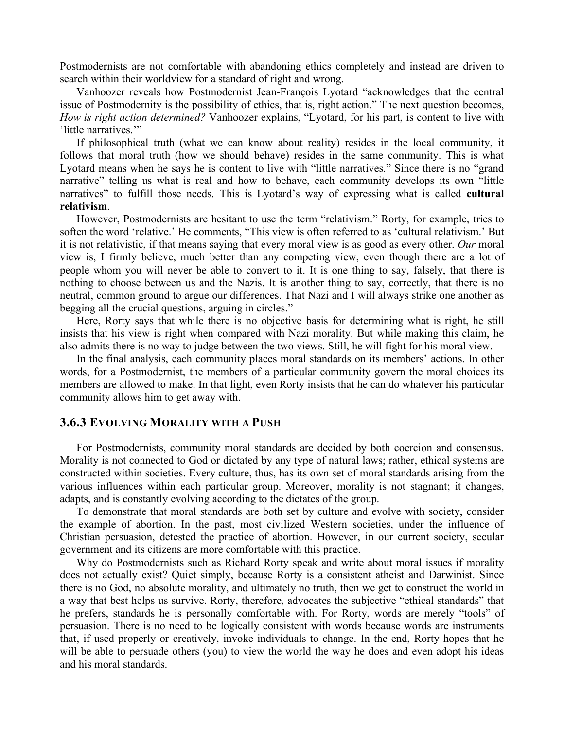Postmodernists are not comfortable with abandoning ethics completely and instead are driven to search within their worldview for a standard of right and wrong.

Vanhoozer reveals how Postmodernist Jean-François Lyotard "acknowledges that the central issue of Postmodernity is the possibility of ethics, that is, right action." The next question becomes, *How is right action determined?* Vanhoozer explains, "Lyotard, for his part, is content to live with 'little narratives.'"

If philosophical truth (what we can know about reality) resides in the local community, it follows that moral truth (how we should behave) resides in the same community. This is what Lyotard means when he says he is content to live with "little narratives." Since there is no "grand narrative" telling us what is real and how to behave, each community develops its own "little narratives" to fulfill those needs. This is Lyotard's way of expressing what is called **cultural relativism**.

However, Postmodernists are hesitant to use the term "relativism." Rorty, for example, tries to soften the word 'relative.' He comments, "This view is often referred to as 'cultural relativism.' But it is not relativistic, if that means saying that every moral view is as good as every other. *Our* moral view is, I firmly believe, much better than any competing view, even though there are a lot of people whom you will never be able to convert to it. It is one thing to say, falsely, that there is nothing to choose between us and the Nazis. It is another thing to say, correctly, that there is no neutral, common ground to argue our differences. That Nazi and I will always strike one another as begging all the crucial questions, arguing in circles."

Here, Rorty says that while there is no objective basis for determining what is right, he still insists that his view is right when compared with Nazi morality. But while making this claim, he also admits there is no way to judge between the two views. Still, he will fight for his moral view.

In the final analysis, each community places moral standards on its members' actions. In other words, for a Postmodernist, the members of a particular community govern the moral choices its members are allowed to make. In that light, even Rorty insists that he can do whatever his particular community allows him to get away with.

### **3.6.3 EVOLVING MORALITY WITH A PUSH**

For Postmodernists, community moral standards are decided by both coercion and consensus. Morality is not connected to God or dictated by any type of natural laws; rather, ethical systems are constructed within societies. Every culture, thus, has its own set of moral standards arising from the various influences within each particular group. Moreover, morality is not stagnant; it changes, adapts, and is constantly evolving according to the dictates of the group.

To demonstrate that moral standards are both set by culture and evolve with society, consider the example of abortion. In the past, most civilized Western societies, under the influence of Christian persuasion, detested the practice of abortion. However, in our current society, secular government and its citizens are more comfortable with this practice.

Why do Postmodernists such as Richard Rorty speak and write about moral issues if morality does not actually exist? Quiet simply, because Rorty is a consistent atheist and Darwinist. Since there is no God, no absolute morality, and ultimately no truth, then we get to construct the world in a way that best helps us survive. Rorty, therefore, advocates the subjective "ethical standards" that he prefers, standards he is personally comfortable with. For Rorty, words are merely "tools" of persuasion. There is no need to be logically consistent with words because words are instruments that, if used properly or creatively, invoke individuals to change. In the end, Rorty hopes that he will be able to persuade others (you) to view the world the way he does and even adopt his ideas and his moral standards.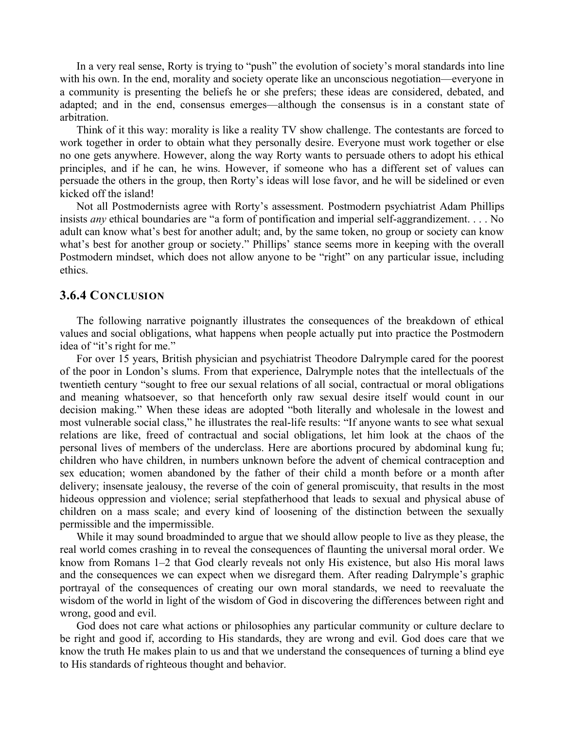In a very real sense, Rorty is trying to "push" the evolution of society's moral standards into line with his own. In the end, morality and society operate like an unconscious negotiation—everyone in a community is presenting the beliefs he or she prefers; these ideas are considered, debated, and adapted; and in the end, consensus emerges—although the consensus is in a constant state of arbitration.

Think of it this way: morality is like a reality TV show challenge. The contestants are forced to work together in order to obtain what they personally desire. Everyone must work together or else no one gets anywhere. However, along the way Rorty wants to persuade others to adopt his ethical principles, and if he can, he wins. However, if someone who has a different set of values can persuade the others in the group, then Rorty's ideas will lose favor, and he will be sidelined or even kicked off the island!

Not all Postmodernists agree with Rorty's assessment. Postmodern psychiatrist Adam Phillips insists *any* ethical boundaries are "a form of pontification and imperial self-aggrandizement. . . . No adult can know what's best for another adult; and, by the same token, no group or society can know what's best for another group or society." Phillips' stance seems more in keeping with the overall Postmodern mindset, which does not allow anyone to be "right" on any particular issue, including ethics.

#### **3.6.4 CONCLUSION**

The following narrative poignantly illustrates the consequences of the breakdown of ethical values and social obligations, what happens when people actually put into practice the Postmodern idea of "it's right for me."

For over 15 years, British physician and psychiatrist Theodore Dalrymple cared for the poorest of the poor in London's slums. From that experience, Dalrymple notes that the intellectuals of the twentieth century "sought to free our sexual relations of all social, contractual or moral obligations and meaning whatsoever, so that henceforth only raw sexual desire itself would count in our decision making." When these ideas are adopted "both literally and wholesale in the lowest and most vulnerable social class," he illustrates the real-life results: "If anyone wants to see what sexual relations are like, freed of contractual and social obligations, let him look at the chaos of the personal lives of members of the underclass. Here are abortions procured by abdominal kung fu; children who have children, in numbers unknown before the advent of chemical contraception and sex education; women abandoned by the father of their child a month before or a month after delivery; insensate jealousy, the reverse of the coin of general promiscuity, that results in the most hideous oppression and violence; serial stepfatherhood that leads to sexual and physical abuse of children on a mass scale; and every kind of loosening of the distinction between the sexually permissible and the impermissible.

While it may sound broadminded to argue that we should allow people to live as they please, the real world comes crashing in to reveal the consequences of flaunting the universal moral order. We know from Romans 1–2 that God clearly reveals not only His existence, but also His moral laws and the consequences we can expect when we disregard them. After reading Dalrymple's graphic portrayal of the consequences of creating our own moral standards, we need to reevaluate the wisdom of the world in light of the wisdom of God in discovering the differences between right and wrong, good and evil.

God does not care what actions or philosophies any particular community or culture declare to be right and good if, according to His standards, they are wrong and evil. God does care that we know the truth He makes plain to us and that we understand the consequences of turning a blind eye to His standards of righteous thought and behavior.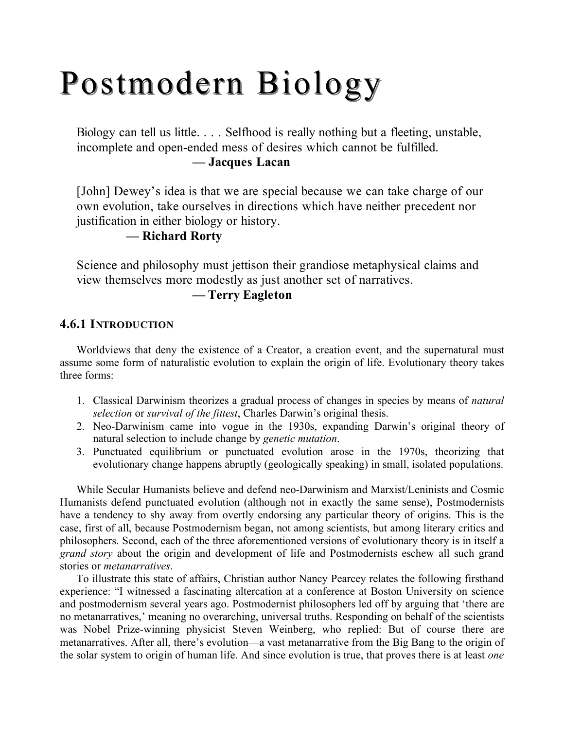# Postmodern Biology

Biology can tell us little. . . . Selfhood is really nothing but a fleeting, unstable, incomplete and open-ended mess of desires which cannot be fulfilled.

# **— Jacques Lacan**

[John] Dewey's idea is that we are special because we can take charge of our own evolution, take ourselves in directions which have neither precedent nor justification in either biology or history.

# **— Richard Rorty**

Science and philosophy must jettison their grandiose metaphysical claims and view themselves more modestly as just another set of narratives.

# **— Terry Eagleton**

# **4.6.1 INTRODUCTION**

Worldviews that deny the existence of a Creator, a creation event, and the supernatural must assume some form of naturalistic evolution to explain the origin of life. Evolutionary theory takes three forms:

- 1. Classical Darwinism theorizes a gradual process of changes in species by means of *natural selection* or *survival of the fittest*, Charles Darwin's original thesis.
- 2. Neo-Darwinism came into vogue in the 1930s, expanding Darwin's original theory of natural selection to include change by *genetic mutation*.
- 3. Punctuated equilibrium or punctuated evolution arose in the 1970s, theorizing that evolutionary change happens abruptly (geologically speaking) in small, isolated populations.

While Secular Humanists believe and defend neo-Darwinism and Marxist/Leninists and Cosmic Humanists defend punctuated evolution (although not in exactly the same sense), Postmodernists have a tendency to shy away from overtly endorsing any particular theory of origins. This is the case, first of all, because Postmodernism began, not among scientists, but among literary critics and philosophers. Second, each of the three aforementioned versions of evolutionary theory is in itself a *grand story* about the origin and development of life and Postmodernists eschew all such grand stories or *metanarratives*.

To illustrate this state of affairs, Christian author Nancy Pearcey relates the following firsthand experience: "I witnessed a fascinating altercation at a conference at Boston University on science and postmodernism several years ago. Postmodernist philosophers led off by arguing that 'there are no metanarratives,' meaning no overarching, universal truths. Responding on behalf of the scientists was Nobel Prize-winning physicist Steven Weinberg, who replied: But of course there are metanarratives. After all, there's evolution—a vast metanarrative from the Big Bang to the origin of the solar system to origin of human life. And since evolution is true, that proves there is at least *one*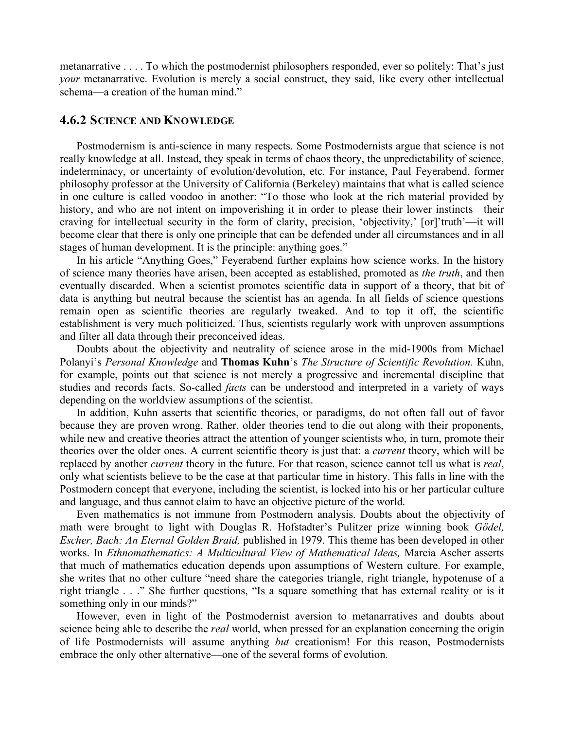metanarrative . . . . To which the postmodernist philosophers responded, ever so politely: That's just *your* metanarrative. Evolution is merely a social construct, they said, like every other intellectual schema—a creation of the human mind."

#### **4.6.2 SCIENCE AND KNOWLEDGE**

Postmodernism is anti-science in many respects. Some Postmodernists argue that science is not really knowledge at all. Instead, they speak in terms of chaos theory, the unpredictability of science, indeterminacy, or uncertainty of evolution/devolution, etc. For instance, Paul Feyerabend, former philosophy professor at the University of California (Berkeley) maintains that what is called science in one culture is called voodoo in another: "To those who look at the rich material provided by history, and who are not intent on impoverishing it in order to please their lower instincts—their craving for intellectual security in the form of clarity, precision, 'objectivity,' [or]'truth'—it will become clear that there is only one principle that can be defended under all circumstances and in all stages of human development. It is the principle: anything goes."

In his article "Anything Goes," Feyerabend further explains how science works. In the history of science many theories have arisen, been accepted as established, promoted as *the truth*, and then eventually discarded. When a scientist promotes scientific data in support of a theory, that bit of data is anything but neutral because the scientist has an agenda. In all fields of science questions remain open as scientific theories are regularly tweaked. And to top it off, the scientific establishment is very much politicized. Thus, scientists regularly work with unproven assumptions and filter all data through their preconceived ideas.

Doubts about the objectivity and neutrality of science arose in the mid-1900s from Michael Polanyi's *Personal Knowledge* and **Thomas Kuhn**'s *The Structure of Scientific Revolution.* Kuhn, for example, points out that science is not merely a progressive and incremental discipline that studies and records facts. So-called *facts* can be understood and interpreted in a variety of ways depending on the worldview assumptions of the scientist.

In addition, Kuhn asserts that scientific theories, or paradigms, do not often fall out of favor because they are proven wrong. Rather, older theories tend to die out along with their proponents, while new and creative theories attract the attention of younger scientists who, in turn, promote their theories over the older ones. A current scientific theory is just that: a *current* theory, which will be replaced by another *current* theory in the future. For that reason, science cannot tell us what is *real*, only what scientists believe to be the case at that particular time in history. This falls in line with the Postmodern concept that everyone, including the scientist, is locked into his or her particular culture and language, and thus cannot claim to have an objective picture of the world.

Even mathematics is not immune from Postmodern analysis. Doubts about the objectivity of math were brought to light with Douglas R. Hofstadter's Pulitzer prize winning book *Gödel, Escher, Bach: An Eternal Golden Braid,* published in 1979. This theme has been developed in other works. In *Ethnomathematics: A Multicultural View of Mathematical Ideas,* Marcia Ascher asserts that much of mathematics education depends upon assumptions of Western culture. For example, she writes that no other culture "need share the categories triangle, right triangle, hypotenuse of a right triangle . . ." She further questions, "Is a square something that has external reality or is it something only in our minds?"

However, even in light of the Postmodernist aversion to metanarratives and doubts about science being able to describe the *real* world, when pressed for an explanation concerning the origin of life Postmodernists will assume anything *but* creationism! For this reason, Postmodernists embrace the only other alternative—one of the several forms of evolution.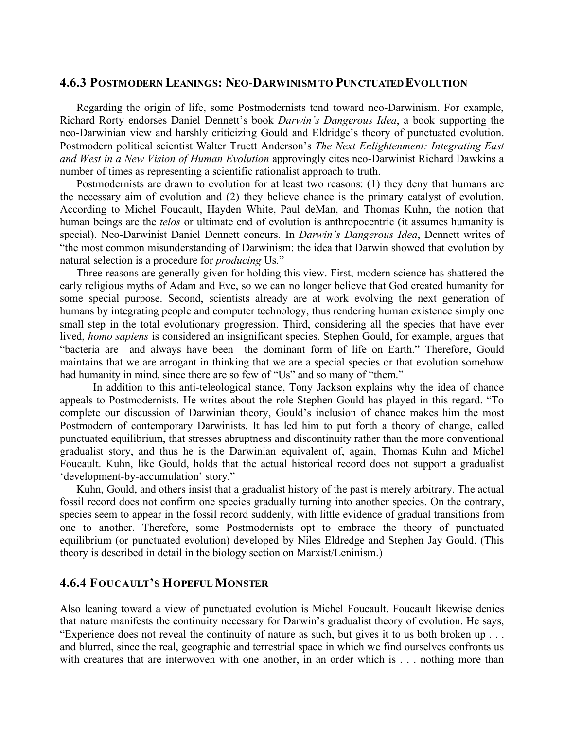#### **4.6.3 POSTMODERN LEANINGS: NEO**-**DARWINISM TO PUNCTUATED EVOLUTION**

Regarding the origin of life, some Postmodernists tend toward neo-Darwinism. For example, Richard Rorty endorses Daniel Dennett's book *Darwin's Dangerous Idea*, a book supporting the neo-Darwinian view and harshly criticizing Gould and Eldridge's theory of punctuated evolution. Postmodern political scientist Walter Truett Anderson's *The Next Enlightenment: Integrating East and West in a New Vision of Human Evolution* approvingly cites neo-Darwinist Richard Dawkins a number of times as representing a scientific rationalist approach to truth.

Postmodernists are drawn to evolution for at least two reasons: (1) they deny that humans are the necessary aim of evolution and (2) they believe chance is the primary catalyst of evolution. According to Michel Foucault, Hayden White, Paul deMan, and Thomas Kuhn, the notion that human beings are the *telos* or ultimate end of evolution is anthropocentric (it assumes humanity is special). Neo-Darwinist Daniel Dennett concurs. In *Darwin's Dangerous Idea*, Dennett writes of "the most common misunderstanding of Darwinism: the idea that Darwin showed that evolution by natural selection is a procedure for *producing* Us."

Three reasons are generally given for holding this view. First, modern science has shattered the early religious myths of Adam and Eve, so we can no longer believe that God created humanity for some special purpose. Second, scientists already are at work evolving the next generation of humans by integrating people and computer technology, thus rendering human existence simply one small step in the total evolutionary progression. Third, considering all the species that have ever lived, *homo sapiens* is considered an insignificant species. Stephen Gould, for example, argues that "bacteria are—and always have been—the dominant form of life on Earth." Therefore, Gould maintains that we are arrogant in thinking that we are a special species or that evolution somehow had humanity in mind, since there are so few of "Us" and so many of "them."

In addition to this anti-teleological stance, Tony Jackson explains why the idea of chance appeals to Postmodernists. He writes about the role Stephen Gould has played in this regard. "To complete our discussion of Darwinian theory, Gould's inclusion of chance makes him the most Postmodern of contemporary Darwinists. It has led him to put forth a theory of change, called punctuated equilibrium, that stresses abruptness and discontinuity rather than the more conventional gradualist story, and thus he is the Darwinian equivalent of, again, Thomas Kuhn and Michel Foucault. Kuhn, like Gould, holds that the actual historical record does not support a gradualist 'development-by-accumulation' story."

Kuhn, Gould, and others insist that a gradualist history of the past is merely arbitrary. The actual fossil record does not confirm one species gradually turning into another species. On the contrary, species seem to appear in the fossil record suddenly, with little evidence of gradual transitions from one to another. Therefore, some Postmodernists opt to embrace the theory of punctuated equilibrium (or punctuated evolution) developed by Niles Eldredge and Stephen Jay Gould. (This theory is described in detail in the biology section on Marxist/Leninism.)

# **4.6.4 FOUCAULT'S HOPEFUL MONSTER**

Also leaning toward a view of punctuated evolution is Michel Foucault. Foucault likewise denies that nature manifests the continuity necessary for Darwin's gradualist theory of evolution. He says, "Experience does not reveal the continuity of nature as such, but gives it to us both broken up . . . and blurred, since the real, geographic and terrestrial space in which we find ourselves confronts us with creatures that are interwoven with one another, in an order which is . . . nothing more than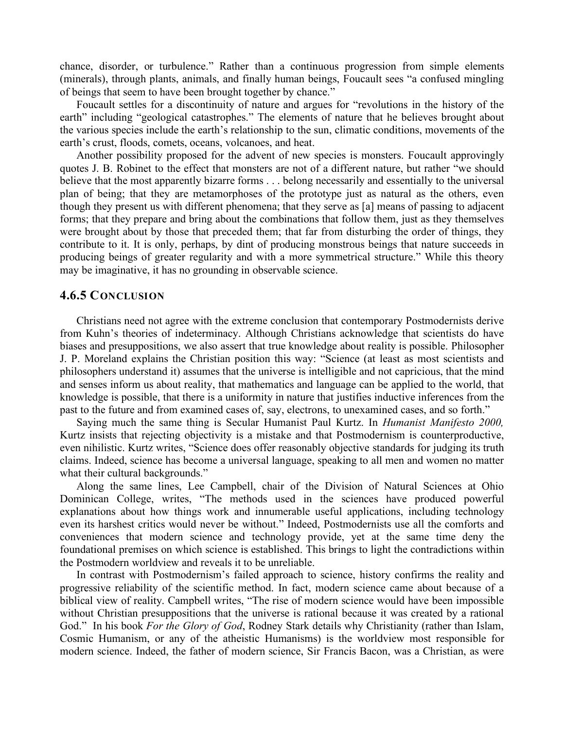chance, disorder, or turbulence." Rather than a continuous progression from simple elements (minerals), through plants, animals, and finally human beings, Foucault sees "a confused mingling of beings that seem to have been brought together by chance."

Foucault settles for a discontinuity of nature and argues for "revolutions in the history of the earth" including "geological catastrophes." The elements of nature that he believes brought about the various species include the earth's relationship to the sun, climatic conditions, movements of the earth's crust, floods, comets, oceans, volcanoes, and heat.

Another possibility proposed for the advent of new species is monsters. Foucault approvingly quotes J. B. Robinet to the effect that monsters are not of a different nature, but rather "we should believe that the most apparently bizarre forms . . . belong necessarily and essentially to the universal plan of being; that they are metamorphoses of the prototype just as natural as the others, even though they present us with different phenomena; that they serve as [a] means of passing to adjacent forms; that they prepare and bring about the combinations that follow them, just as they themselves were brought about by those that preceded them; that far from disturbing the order of things, they contribute to it. It is only, perhaps, by dint of producing monstrous beings that nature succeeds in producing beings of greater regularity and with a more symmetrical structure." While this theory may be imaginative, it has no grounding in observable science.

#### **4.6.5 CONCLUSION**

Christians need not agree with the extreme conclusion that contemporary Postmodernists derive from Kuhn's theories of indeterminacy. Although Christians acknowledge that scientists do have biases and presuppositions, we also assert that true knowledge about reality is possible. Philosopher J. P. Moreland explains the Christian position this way: "Science (at least as most scientists and philosophers understand it) assumes that the universe is intelligible and not capricious, that the mind and senses inform us about reality, that mathematics and language can be applied to the world, that knowledge is possible, that there is a uniformity in nature that justifies inductive inferences from the past to the future and from examined cases of, say, electrons, to unexamined cases, and so forth."

Saying much the same thing is Secular Humanist Paul Kurtz. In *Humanist Manifesto 2000,* Kurtz insists that rejecting objectivity is a mistake and that Postmodernism is counterproductive, even nihilistic. Kurtz writes, "Science does offer reasonably objective standards for judging its truth claims. Indeed, science has become a universal language, speaking to all men and women no matter what their cultural backgrounds."

Along the same lines, Lee Campbell, chair of the Division of Natural Sciences at Ohio Dominican College, writes, "The methods used in the sciences have produced powerful explanations about how things work and innumerable useful applications, including technology even its harshest critics would never be without." Indeed, Postmodernists use all the comforts and conveniences that modern science and technology provide, yet at the same time deny the foundational premises on which science is established. This brings to light the contradictions within the Postmodern worldview and reveals it to be unreliable.

In contrast with Postmodernism's failed approach to science, history confirms the reality and progressive reliability of the scientific method. In fact, modern science came about because of a biblical view of reality. Campbell writes, "The rise of modern science would have been impossible without Christian presuppositions that the universe is rational because it was created by a rational God." In his book *For the Glory of God*, Rodney Stark details why Christianity (rather than Islam, Cosmic Humanism, or any of the atheistic Humanisms) is the worldview most responsible for modern science. Indeed, the father of modern science, Sir Francis Bacon, was a Christian, as were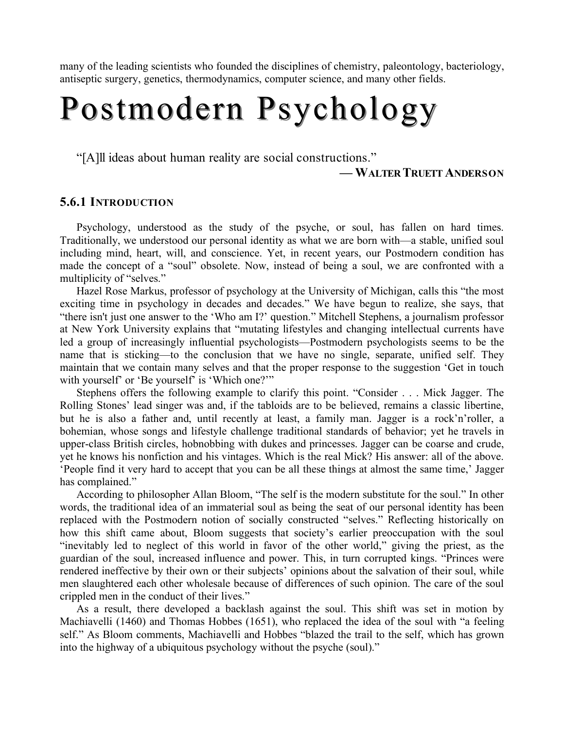many of the leading scientists who founded the disciplines of chemistry, paleontology, bacteriology, antiseptic surgery, genetics, thermodynamics, computer science, and many other fields.

# Postmodern Psychology

"[A]ll ideas about human reality are social constructions."

# **— WALTER TRUETT ANDERSON**

#### **5.6.1 INTRODUCTION**

Psychology, understood as the study of the psyche, or soul, has fallen on hard times. Traditionally, we understood our personal identity as what we are born with—a stable, unified soul including mind, heart, will, and conscience. Yet, in recent years, our Postmodern condition has made the concept of a "soul" obsolete. Now, instead of being a soul, we are confronted with a multiplicity of "selves."

Hazel Rose Markus, professor of psychology at the University of Michigan, calls this "the most exciting time in psychology in decades and decades." We have begun to realize, she says, that "there isn't just one answer to the 'Who am I?' question." Mitchell Stephens, a journalism professor at New York University explains that "mutating lifestyles and changing intellectual currents have led a group of increasingly influential psychologists—Postmodern psychologists seems to be the name that is sticking—to the conclusion that we have no single, separate, unified self. They maintain that we contain many selves and that the proper response to the suggestion 'Get in touch with yourself' or 'Be yourself' is 'Which one?'"

Stephens offers the following example to clarify this point. "Consider . . . Mick Jagger. The Rolling Stones' lead singer was and, if the tabloids are to be believed, remains a classic libertine, but he is also a father and, until recently at least, a family man. Jagger is a rock'n'roller, a bohemian, whose songs and lifestyle challenge traditional standards of behavior; yet he travels in upper-class British circles, hobnobbing with dukes and princesses. Jagger can be coarse and crude, yet he knows his nonfiction and his vintages. Which is the real Mick? His answer: all of the above. 'People find it very hard to accept that you can be all these things at almost the same time,' Jagger has complained."

According to philosopher Allan Bloom, "The self is the modern substitute for the soul." In other words, the traditional idea of an immaterial soul as being the seat of our personal identity has been replaced with the Postmodern notion of socially constructed "selves." Reflecting historically on how this shift came about, Bloom suggests that society's earlier preoccupation with the soul "inevitably led to neglect of this world in favor of the other world," giving the priest, as the guardian of the soul, increased influence and power. This, in turn corrupted kings. "Princes were rendered ineffective by their own or their subjects' opinions about the salvation of their soul, while men slaughtered each other wholesale because of differences of such opinion. The care of the soul crippled men in the conduct of their lives."

As a result, there developed a backlash against the soul. This shift was set in motion by Machiavelli (1460) and Thomas Hobbes (1651), who replaced the idea of the soul with "a feeling self." As Bloom comments, Machiavelli and Hobbes "blazed the trail to the self, which has grown into the highway of a ubiquitous psychology without the psyche (soul)."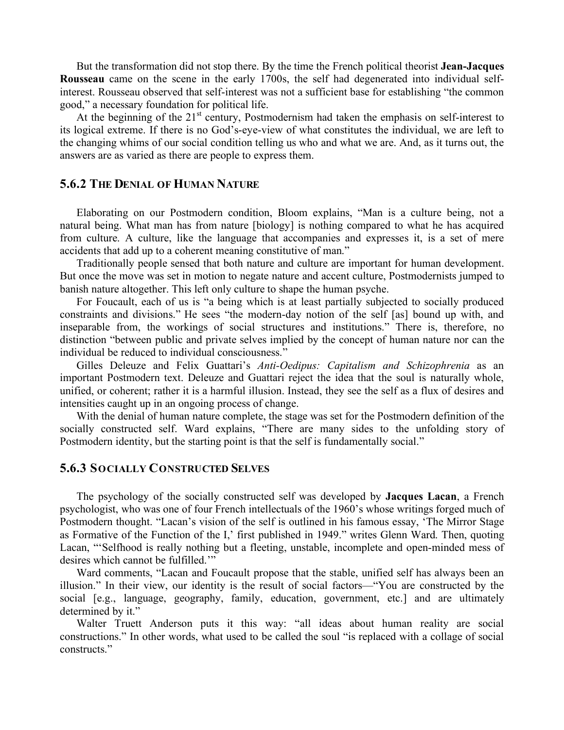But the transformation did not stop there. By the time the French political theorist **Jean-Jacques Rousseau** came on the scene in the early 1700s, the self had degenerated into individual selfinterest. Rousseau observed that self-interest was not a sufficient base for establishing "the common good," a necessary foundation for political life.

At the beginning of the 21<sup>st</sup> century, Postmodernism had taken the emphasis on self-interest to its logical extreme. If there is no God's-eye-view of what constitutes the individual, we are left to the changing whims of our social condition telling us who and what we are. And, as it turns out, the answers are as varied as there are people to express them.

# **5.6.2 THE DENIAL OF HUMAN NATURE**

Elaborating on our Postmodern condition, Bloom explains, "Man is a culture being, not a natural being. What man has from nature [biology] is nothing compared to what he has acquired from culture. A culture, like the language that accompanies and expresses it, is a set of mere accidents that add up to a coherent meaning constitutive of man."

Traditionally people sensed that both nature and culture are important for human development. But once the move was set in motion to negate nature and accent culture, Postmodernists jumped to banish nature altogether. This left only culture to shape the human psyche.

For Foucault, each of us is "a being which is at least partially subjected to socially produced constraints and divisions." He sees "the modern-day notion of the self [as] bound up with, and inseparable from, the workings of social structures and institutions." There is, therefore, no distinction "between public and private selves implied by the concept of human nature nor can the individual be reduced to individual consciousness."

Gilles Deleuze and Felix Guattari's *Anti-Oedipus: Capitalism and Schizophrenia* as an important Postmodern text. Deleuze and Guattari reject the idea that the soul is naturally whole, unified, or coherent; rather it is a harmful illusion. Instead, they see the self as a flux of desires and intensities caught up in an ongoing process of change.

With the denial of human nature complete, the stage was set for the Postmodern definition of the socially constructed self. Ward explains, "There are many sides to the unfolding story of Postmodern identity, but the starting point is that the self is fundamentally social."

#### **5.6.3 SOCIALLY CONSTRUCTED SELVES**

The psychology of the socially constructed self was developed by **Jacques Lacan**, a French psychologist, who was one of four French intellectuals of the 1960's whose writings forged much of Postmodern thought. "Lacan's vision of the self is outlined in his famous essay, 'The Mirror Stage as Formative of the Function of the I,' first published in 1949." writes Glenn Ward. Then, quoting Lacan, "'Selfhood is really nothing but a fleeting, unstable, incomplete and open-minded mess of desires which cannot be fulfilled.""

Ward comments, "Lacan and Foucault propose that the stable, unified self has always been an illusion." In their view, our identity is the result of social factors—"You are constructed by the social [e.g., language, geography, family, education, government, etc.] and are ultimately determined by it."

Walter Truett Anderson puts it this way: "all ideas about human reality are social constructions." In other words, what used to be called the soul "is replaced with a collage of social constructs."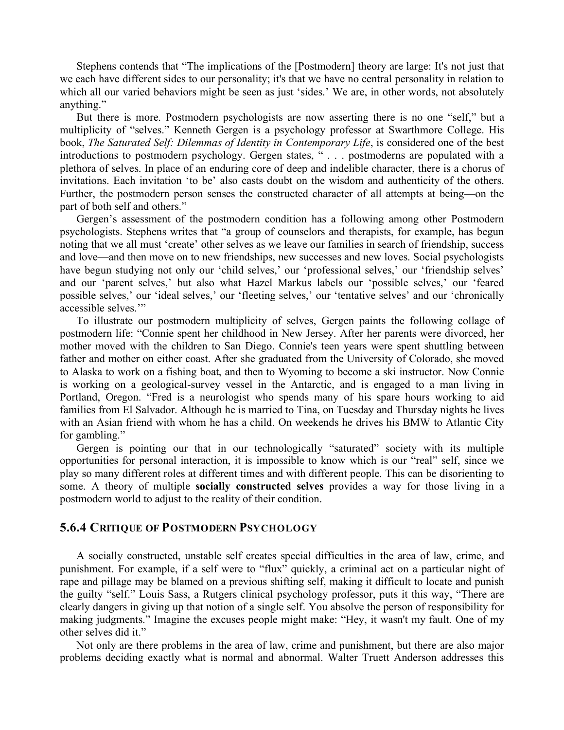Stephens contends that "The implications of the [Postmodern] theory are large: It's not just that we each have different sides to our personality; it's that we have no central personality in relation to which all our varied behaviors might be seen as just 'sides.' We are, in other words, not absolutely anything."

But there is more. Postmodern psychologists are now asserting there is no one "self," but a multiplicity of "selves." Kenneth Gergen is a psychology professor at Swarthmore College. His book, *The Saturated Self: Dilemmas of Identity in Contemporary Life*, is considered one of the best introductions to postmodern psychology. Gergen states, " . . . postmoderns are populated with a plethora of selves. In place of an enduring core of deep and indelible character, there is a chorus of invitations. Each invitation 'to be' also casts doubt on the wisdom and authenticity of the others. Further, the postmodern person senses the constructed character of all attempts at being—on the part of both self and others."

Gergen's assessment of the postmodern condition has a following among other Postmodern psychologists. Stephens writes that "a group of counselors and therapists, for example, has begun noting that we all must 'create' other selves as we leave our families in search of friendship, success and love—and then move on to new friendships, new successes and new loves. Social psychologists have begun studying not only our 'child selves,' our 'professional selves,' our 'friendship selves' and our 'parent selves,' but also what Hazel Markus labels our 'possible selves,' our 'feared possible selves,' our 'ideal selves,' our 'fleeting selves,' our 'tentative selves' and our 'chronically accessible selves.'"

To illustrate our postmodern multiplicity of selves, Gergen paints the following collage of postmodern life: "Connie spent her childhood in New Jersey. After her parents were divorced, her mother moved with the children to San Diego. Connie's teen years were spent shuttling between father and mother on either coast. After she graduated from the University of Colorado, she moved to Alaska to work on a fishing boat, and then to Wyoming to become a ski instructor. Now Connie is working on a geological-survey vessel in the Antarctic, and is engaged to a man living in Portland, Oregon. "Fred is a neurologist who spends many of his spare hours working to aid families from El Salvador. Although he is married to Tina, on Tuesday and Thursday nights he lives with an Asian friend with whom he has a child. On weekends he drives his BMW to Atlantic City for gambling."

Gergen is pointing our that in our technologically "saturated" society with its multiple opportunities for personal interaction, it is impossible to know which is our "real" self, since we play so many different roles at different times and with different people. This can be disorienting to some. A theory of multiple **socially constructed selves** provides a way for those living in a postmodern world to adjust to the reality of their condition.

## **5.6.4 CRITIQUE OF POSTMODERN PSYCHOLOGY**

A socially constructed, unstable self creates special difficulties in the area of law, crime, and punishment. For example, if a self were to "flux" quickly, a criminal act on a particular night of rape and pillage may be blamed on a previous shifting self, making it difficult to locate and punish the guilty "self." Louis Sass, a Rutgers clinical psychology professor, puts it this way, "There are clearly dangers in giving up that notion of a single self. You absolve the person of responsibility for making judgments." Imagine the excuses people might make: "Hey, it wasn't my fault. One of my other selves did it."

Not only are there problems in the area of law, crime and punishment, but there are also major problems deciding exactly what is normal and abnormal. Walter Truett Anderson addresses this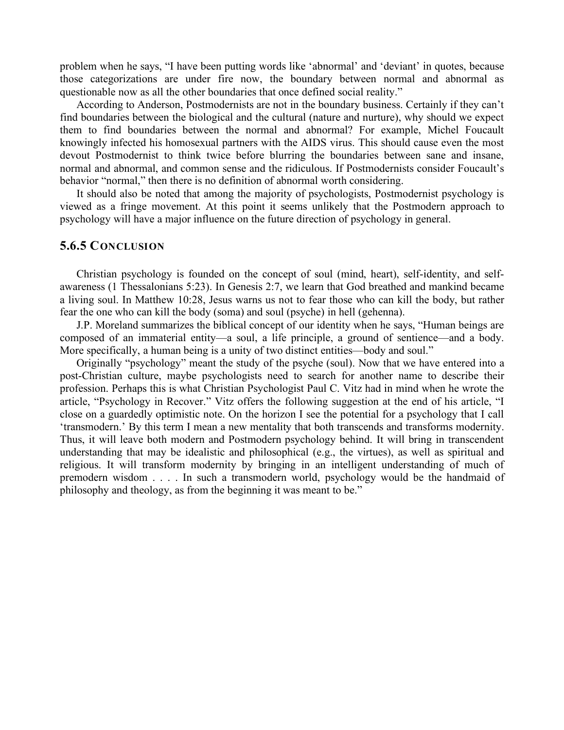problem when he says, "I have been putting words like 'abnormal' and 'deviant' in quotes, because those categorizations are under fire now, the boundary between normal and abnormal as questionable now as all the other boundaries that once defined social reality."

According to Anderson, Postmodernists are not in the boundary business. Certainly if they can't find boundaries between the biological and the cultural (nature and nurture), why should we expect them to find boundaries between the normal and abnormal? For example, Michel Foucault knowingly infected his homosexual partners with the AIDS virus. This should cause even the most devout Postmodernist to think twice before blurring the boundaries between sane and insane, normal and abnormal, and common sense and the ridiculous. If Postmodernists consider Foucault's behavior "normal," then there is no definition of abnormal worth considering.

It should also be noted that among the majority of psychologists, Postmodernist psychology is viewed as a fringe movement. At this point it seems unlikely that the Postmodern approach to psychology will have a major influence on the future direction of psychology in general.

#### **5.6.5 CONCLUSION**

Christian psychology is founded on the concept of soul (mind, heart), self-identity, and selfawareness (1 Thessalonians 5:23). In Genesis 2:7, we learn that God breathed and mankind became a living soul. In Matthew 10:28, Jesus warns us not to fear those who can kill the body, but rather fear the one who can kill the body (soma) and soul (psyche) in hell (gehenna).

J.P. Moreland summarizes the biblical concept of our identity when he says, "Human beings are composed of an immaterial entity—a soul, a life principle, a ground of sentience—and a body. More specifically, a human being is a unity of two distinct entities—body and soul."

Originally "psychology" meant the study of the psyche (soul). Now that we have entered into a post-Christian culture, maybe psychologists need to search for another name to describe their profession. Perhaps this is what Christian Psychologist Paul C. Vitz had in mind when he wrote the article, "Psychology in Recover." Vitz offers the following suggestion at the end of his article, "I close on a guardedly optimistic note. On the horizon I see the potential for a psychology that I call 'transmodern.' By this term I mean a new mentality that both transcends and transforms modernity. Thus, it will leave both modern and Postmodern psychology behind. It will bring in transcendent understanding that may be idealistic and philosophical (e.g., the virtues), as well as spiritual and religious. It will transform modernity by bringing in an intelligent understanding of much of premodern wisdom . . . . In such a transmodern world, psychology would be the handmaid of philosophy and theology, as from the beginning it was meant to be."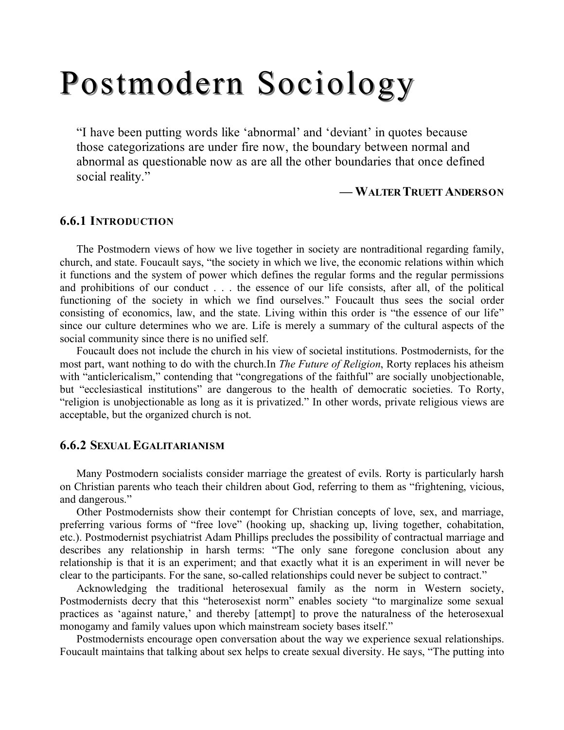# Postmodern Sociology

"I have been putting words like 'abnormal' and 'deviant' in quotes because those categorizations are under fire now, the boundary between normal and abnormal as questionable now as are all the other boundaries that once defined social reality."

# **— WALTER TRUETT ANDERSON**

# **6.6.1 INTRODUCTION**

The Postmodern views of how we live together in society are nontraditional regarding family, church, and state. Foucault says, "the society in which we live, the economic relations within which it functions and the system of power which defines the regular forms and the regular permissions and prohibitions of our conduct . . . the essence of our life consists, after all, of the political functioning of the society in which we find ourselves." Foucault thus sees the social order consisting of economics, law, and the state. Living within this order is "the essence of our life" since our culture determines who we are. Life is merely a summary of the cultural aspects of the social community since there is no unified self.

Foucault does not include the church in his view of societal institutions. Postmodernists, for the most part, want nothing to do with the church.In *The Future of Religion*, Rorty replaces his atheism with "anticlericalism," contending that "congregations of the faithful" are socially unobjectionable, but "ecclesiastical institutions" are dangerous to the health of democratic societies. To Rorty, "religion is unobjectionable as long as it is privatized." In other words, private religious views are acceptable, but the organized church is not.

#### **6.6.2 SEXUAL EGALITARIANISM**

Many Postmodern socialists consider marriage the greatest of evils. Rorty is particularly harsh on Christian parents who teach their children about God, referring to them as "frightening, vicious, and dangerous."

Other Postmodernists show their contempt for Christian concepts of love, sex, and marriage, preferring various forms of "free love" (hooking up, shacking up, living together, cohabitation, etc.). Postmodernist psychiatrist Adam Phillips precludes the possibility of contractual marriage and describes any relationship in harsh terms: "The only sane foregone conclusion about any relationship is that it is an experiment; and that exactly what it is an experiment in will never be clear to the participants. For the sane, so-called relationships could never be subject to contract."

Acknowledging the traditional heterosexual family as the norm in Western society, Postmodernists decry that this "heterosexist norm" enables society "to marginalize some sexual practices as 'against nature,' and thereby [attempt] to prove the naturalness of the heterosexual monogamy and family values upon which mainstream society bases itself."

Postmodernists encourage open conversation about the way we experience sexual relationships. Foucault maintains that talking about sex helps to create sexual diversity. He says, "The putting into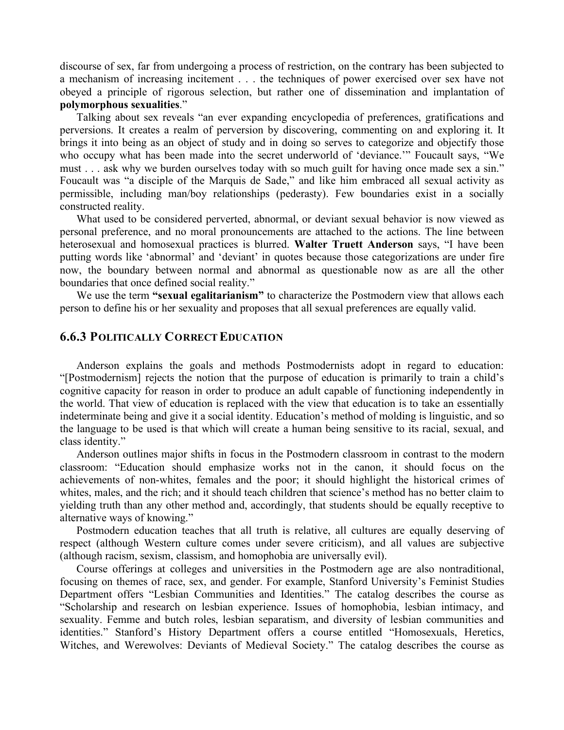discourse of sex, far from undergoing a process of restriction, on the contrary has been subjected to a mechanism of increasing incitement . . . the techniques of power exercised over sex have not obeyed a principle of rigorous selection, but rather one of dissemination and implantation of **polymorphous sexualities**."

Talking about sex reveals "an ever expanding encyclopedia of preferences, gratifications and perversions. It creates a realm of perversion by discovering, commenting on and exploring it. It brings it into being as an object of study and in doing so serves to categorize and objectify those who occupy what has been made into the secret underworld of 'deviance.'" Foucault says, "We must . . . ask why we burden ourselves today with so much guilt for having once made sex a sin." Foucault was "a disciple of the Marquis de Sade," and like him embraced all sexual activity as permissible, including man/boy relationships (pederasty). Few boundaries exist in a socially constructed reality.

What used to be considered perverted, abnormal, or deviant sexual behavior is now viewed as personal preference, and no moral pronouncements are attached to the actions. The line between heterosexual and homosexual practices is blurred. **Walter Truett Anderson** says, "I have been putting words like 'abnormal' and 'deviant' in quotes because those categorizations are under fire now, the boundary between normal and abnormal as questionable now as are all the other boundaries that once defined social reality."

We use the term **"sexual egalitarianism"** to characterize the Postmodern view that allows each person to define his or her sexuality and proposes that all sexual preferences are equally valid.

#### **6.6.3 POLITICALLY CORRECT EDUCATION**

Anderson explains the goals and methods Postmodernists adopt in regard to education: "[Postmodernism] rejects the notion that the purpose of education is primarily to train a child's cognitive capacity for reason in order to produce an adult capable of functioning independently in the world. That view of education is replaced with the view that education is to take an essentially indeterminate being and give it a social identity. Education's method of molding is linguistic, and so the language to be used is that which will create a human being sensitive to its racial, sexual, and class identity."

Anderson outlines major shifts in focus in the Postmodern classroom in contrast to the modern classroom: "Education should emphasize works not in the canon, it should focus on the achievements of non-whites, females and the poor; it should highlight the historical crimes of whites, males, and the rich; and it should teach children that science's method has no better claim to yielding truth than any other method and, accordingly, that students should be equally receptive to alternative ways of knowing."

Postmodern education teaches that all truth is relative, all cultures are equally deserving of respect (although Western culture comes under severe criticism), and all values are subjective (although racism, sexism, classism, and homophobia are universally evil).

Course offerings at colleges and universities in the Postmodern age are also nontraditional, focusing on themes of race, sex, and gender. For example, Stanford University's Feminist Studies Department offers "Lesbian Communities and Identities." The catalog describes the course as "Scholarship and research on lesbian experience. Issues of homophobia, lesbian intimacy, and sexuality. Femme and butch roles, lesbian separatism, and diversity of lesbian communities and identities." Stanford's History Department offers a course entitled "Homosexuals, Heretics, Witches, and Werewolves: Deviants of Medieval Society." The catalog describes the course as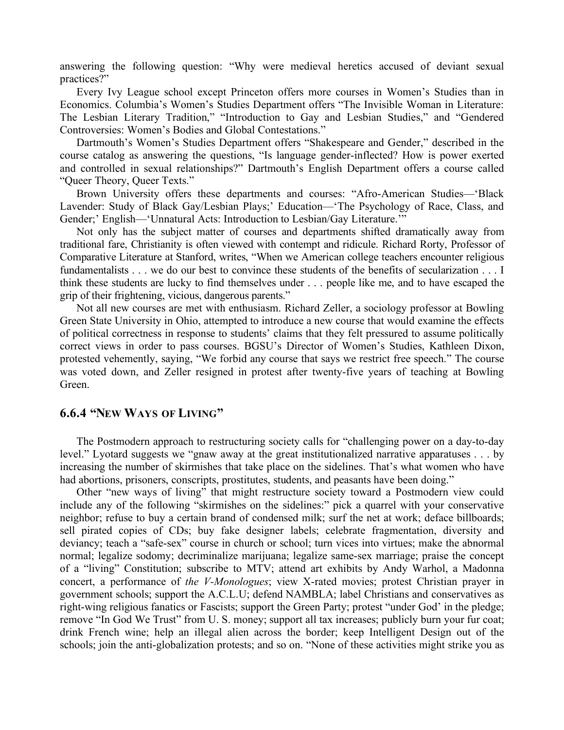answering the following question: "Why were medieval heretics accused of deviant sexual practices?"

Every Ivy League school except Princeton offers more courses in Women's Studies than in Economics. Columbia's Women's Studies Department offers "The Invisible Woman in Literature: The Lesbian Literary Tradition," "Introduction to Gay and Lesbian Studies," and "Gendered Controversies: Women's Bodies and Global Contestations."

Dartmouth's Women's Studies Department offers "Shakespeare and Gender," described in the course catalog as answering the questions, "Is language gender-inflected? How is power exerted and controlled in sexual relationships?" Dartmouth's English Department offers a course called "Queer Theory, Queer Texts."

Brown University offers these departments and courses: "Afro-American Studies—'Black Lavender: Study of Black Gay/Lesbian Plays;' Education—'The Psychology of Race, Class, and Gender;' English—'Unnatural Acts: Introduction to Lesbian/Gay Literature.'"

Not only has the subject matter of courses and departments shifted dramatically away from traditional fare, Christianity is often viewed with contempt and ridicule. Richard Rorty, Professor of Comparative Literature at Stanford, writes, "When we American college teachers encounter religious fundamentalists . . . we do our best to convince these students of the benefits of secularization . . . I think these students are lucky to find themselves under . . . people like me, and to have escaped the grip of their frightening, vicious, dangerous parents."

Not all new courses are met with enthusiasm. Richard Zeller, a sociology professor at Bowling Green State University in Ohio, attempted to introduce a new course that would examine the effects of political correctness in response to students' claims that they felt pressured to assume politically correct views in order to pass courses. BGSU's Director of Women's Studies, Kathleen Dixon, protested vehemently, saying, "We forbid any course that says we restrict free speech." The course was voted down, and Zeller resigned in protest after twenty-five years of teaching at Bowling Green.

#### **6.6.4 "NEW WAYS OF LIVING"**

The Postmodern approach to restructuring society calls for "challenging power on a day-to-day level." Lyotard suggests we "gnaw away at the great institutionalized narrative apparatuses . . . by increasing the number of skirmishes that take place on the sidelines. That's what women who have had abortions, prisoners, conscripts, prostitutes, students, and peasants have been doing."

Other "new ways of living" that might restructure society toward a Postmodern view could include any of the following "skirmishes on the sidelines:" pick a quarrel with your conservative neighbor; refuse to buy a certain brand of condensed milk; surf the net at work; deface billboards; sell pirated copies of CDs; buy fake designer labels; celebrate fragmentation, diversity and deviancy; teach a "safe-sex" course in church or school; turn vices into virtues; make the abnormal normal; legalize sodomy; decriminalize marijuana; legalize same-sex marriage; praise the concept of a "living" Constitution; subscribe to MTV; attend art exhibits by Andy Warhol, a Madonna concert, a performance of *the V-Monologues*; view X-rated movies; protest Christian prayer in government schools; support the A.C.L.U; defend NAMBLA; label Christians and conservatives as right-wing religious fanatics or Fascists; support the Green Party; protest "under God' in the pledge; remove "In God We Trust" from U. S. money; support all tax increases; publicly burn your fur coat; drink French wine; help an illegal alien across the border; keep Intelligent Design out of the schools; join the anti-globalization protests; and so on. "None of these activities might strike you as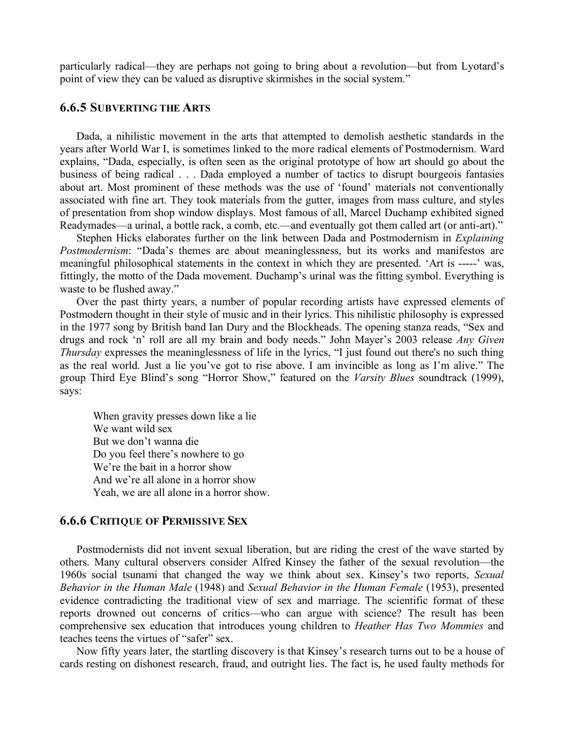particularly radical—they are perhaps not going to bring about a revolution—but from Lyotard's point of view they can be valued as disruptive skirmishes in the social system."

#### **6.6.5 SUBVERTING THE ARTS**

Dada, a nihilistic movement in the arts that attempted to demolish aesthetic standards in the years after World War I, is sometimes linked to the more radical elements of Postmodernism. Ward explains, "Dada, especially, is often seen as the original prototype of how art should go about the business of being radical . . . Dada employed a number of tactics to disrupt bourgeois fantasies about art. Most prominent of these methods was the use of 'found' materials not conventionally associated with fine art. They took materials from the gutter, images from mass culture, and styles of presentation from shop window displays. Most famous of all, Marcel Duchamp exhibited signed Readymades—a urinal, a bottle rack, a comb, etc.—and eventually got them called art (or anti-art)."

Stephen Hicks elaborates further on the link between Dada and Postmodernism in *Explaining Postmodernism*: "Dada's themes are about meaninglessness, but its works and manifestos are meaningful philosophical statements in the context in which they are presented. 'Art is -----' was, fittingly, the motto of the Dada movement. Duchamp's urinal was the fitting symbol. Everything is waste to be flushed away."

Over the past thirty years, a number of popular recording artists have expressed elements of Postmodern thought in their style of music and in their lyrics. This nihilistic philosophy is expressed in the 1977 song by British band Ian Dury and the Blockheads. The opening stanza reads, "Sex and drugs and rock 'n' roll are all my brain and body needs." John Mayer's 2003 release *Any Given Thursday* expresses the meaninglessness of life in the lyrics, "I just found out there's no such thing as the real world. Just a lie you've got to rise above. I am invincible as long as I'm alive." The group Third Eye Blind's song "Horror Show," featured on the *Varsity Blues* soundtrack (1999), says:

When gravity presses down like a lie We want wild sex But we don't wanna die Do you feel there's nowhere to go We're the bait in a horror show And we're all alone in a horror show Yeah, we are all alone in a horror show.

#### **6.6.6 CRITIQUE OF PERMISSIVE SEX**

Postmodernists did not invent sexual liberation, but are riding the crest of the wave started by others. Many cultural observers consider Alfred Kinsey the father of the sexual revolution—the 1960s social tsunami that changed the way we think about sex. Kinsey's two reports, *Sexual Behavior in the Human Male* (1948) and *Sexual Behavior in the Human Female* (1953), presented evidence contradicting the traditional view of sex and marriage. The scientific format of these reports drowned out concerns of critics—who can argue with science? The result has been comprehensive sex education that introduces young children to *Heather Has Two Mommies* and teaches teens the virtues of "safer" sex.

Now fifty years later, the startling discovery is that Kinsey's research turns out to be a house of cards resting on dishonest research, fraud, and outright lies. The fact is, he used faulty methods for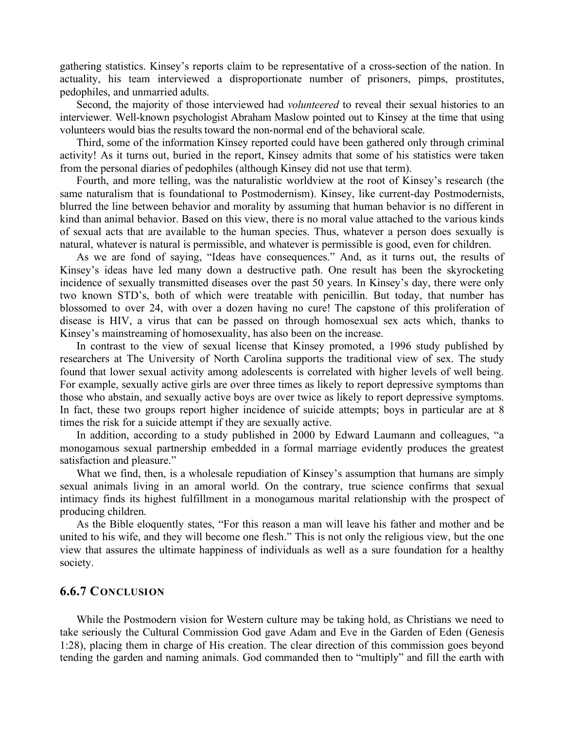gathering statistics. Kinsey's reports claim to be representative of a cross-section of the nation. In actuality, his team interviewed a disproportionate number of prisoners, pimps, prostitutes, pedophiles, and unmarried adults.

Second, the majority of those interviewed had *volunteered* to reveal their sexual histories to an interviewer. Well-known psychologist Abraham Maslow pointed out to Kinsey at the time that using volunteers would bias the results toward the non-normal end of the behavioral scale.

Third, some of the information Kinsey reported could have been gathered only through criminal activity! As it turns out, buried in the report, Kinsey admits that some of his statistics were taken from the personal diaries of pedophiles (although Kinsey did not use that term).

Fourth, and more telling, was the naturalistic worldview at the root of Kinsey's research (the same naturalism that is foundational to Postmodernism). Kinsey, like current-day Postmodernists, blurred the line between behavior and morality by assuming that human behavior is no different in kind than animal behavior. Based on this view, there is no moral value attached to the various kinds of sexual acts that are available to the human species. Thus, whatever a person does sexually is natural, whatever is natural is permissible, and whatever is permissible is good, even for children.

As we are fond of saying, "Ideas have consequences." And, as it turns out, the results of Kinsey's ideas have led many down a destructive path. One result has been the skyrocketing incidence of sexually transmitted diseases over the past 50 years. In Kinsey's day, there were only two known STD's, both of which were treatable with penicillin. But today, that number has blossomed to over 24, with over a dozen having no cure! The capstone of this proliferation of disease is HIV, a virus that can be passed on through homosexual sex acts which, thanks to Kinsey's mainstreaming of homosexuality, has also been on the increase.

In contrast to the view of sexual license that Kinsey promoted, a 1996 study published by researchers at The University of North Carolina supports the traditional view of sex. The study found that lower sexual activity among adolescents is correlated with higher levels of well being. For example, sexually active girls are over three times as likely to report depressive symptoms than those who abstain, and sexually active boys are over twice as likely to report depressive symptoms. In fact, these two groups report higher incidence of suicide attempts; boys in particular are at 8 times the risk for a suicide attempt if they are sexually active.

In addition, according to a study published in 2000 by Edward Laumann and colleagues, "a monogamous sexual partnership embedded in a formal marriage evidently produces the greatest satisfaction and pleasure."

What we find, then, is a wholesale repudiation of Kinsey's assumption that humans are simply sexual animals living in an amoral world. On the contrary, true science confirms that sexual intimacy finds its highest fulfillment in a monogamous marital relationship with the prospect of producing children.

As the Bible eloquently states, "For this reason a man will leave his father and mother and be united to his wife, and they will become one flesh." This is not only the religious view, but the one view that assures the ultimate happiness of individuals as well as a sure foundation for a healthy society.

# **6.6.7 CONCLUSION**

While the Postmodern vision for Western culture may be taking hold, as Christians we need to take seriously the Cultural Commission God gave Adam and Eve in the Garden of Eden (Genesis 1:28), placing them in charge of His creation. The clear direction of this commission goes beyond tending the garden and naming animals. God commanded then to "multiply" and fill the earth with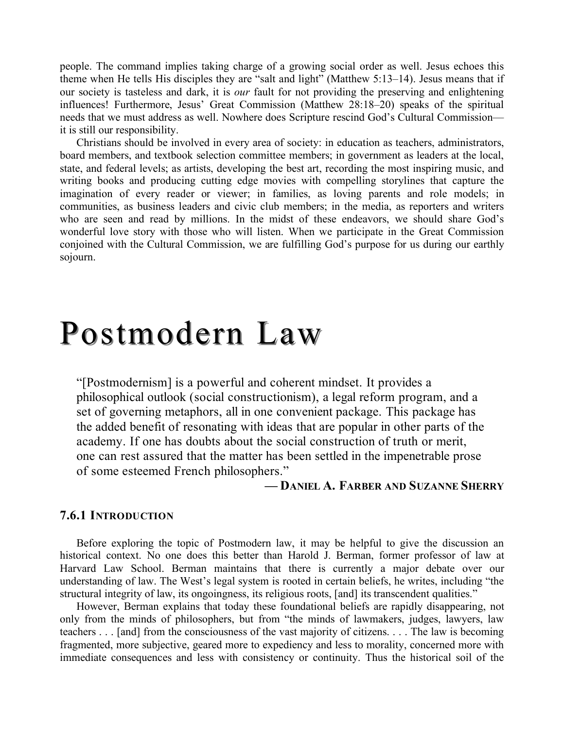people. The command implies taking charge of a growing social order as well. Jesus echoes this theme when He tells His disciples they are "salt and light" (Matthew 5:13–14). Jesus means that if our society is tasteless and dark, it is *our* fault for not providing the preserving and enlightening influences! Furthermore, Jesus' Great Commission (Matthew 28:18–20) speaks of the spiritual needs that we must address as well. Nowhere does Scripture rescind God's Cultural Commission it is still our responsibility.

Christians should be involved in every area of society: in education as teachers, administrators, board members, and textbook selection committee members; in government as leaders at the local, state, and federal levels; as artists, developing the best art, recording the most inspiring music, and writing books and producing cutting edge movies with compelling storylines that capture the imagination of every reader or viewer; in families, as loving parents and role models; in communities, as business leaders and civic club members; in the media, as reporters and writers who are seen and read by millions. In the midst of these endeavors, we should share God's wonderful love story with those who will listen. When we participate in the Great Commission conjoined with the Cultural Commission, we are fulfilling God's purpose for us during our earthly sojourn.

# Postmodern Law

"[Postmodernism] is a powerful and coherent mindset. It provides a philosophical outlook (social constructionism), a legal reform program, and a set of governing metaphors, all in one convenient package. This package has the added benefit of resonating with ideas that are popular in other parts of the academy. If one has doubts about the social construction of truth or merit, one can rest assured that the matter has been settled in the impenetrable prose of some esteemed French philosophers."

# **— DANIEL A. FARBER AND SUZANNE SHERRY**

#### **7.6.1 INTRODUCTION**

Before exploring the topic of Postmodern law, it may be helpful to give the discussion an historical context. No one does this better than Harold J. Berman, former professor of law at Harvard Law School. Berman maintains that there is currently a major debate over our understanding of law. The West's legal system is rooted in certain beliefs, he writes, including "the structural integrity of law, its ongoingness, its religious roots, [and] its transcendent qualities."

However, Berman explains that today these foundational beliefs are rapidly disappearing, not only from the minds of philosophers, but from "the minds of lawmakers, judges, lawyers, law teachers . . . [and] from the consciousness of the vast majority of citizens. . . . The law is becoming fragmented, more subjective, geared more to expediency and less to morality, concerned more with immediate consequences and less with consistency or continuity. Thus the historical soil of the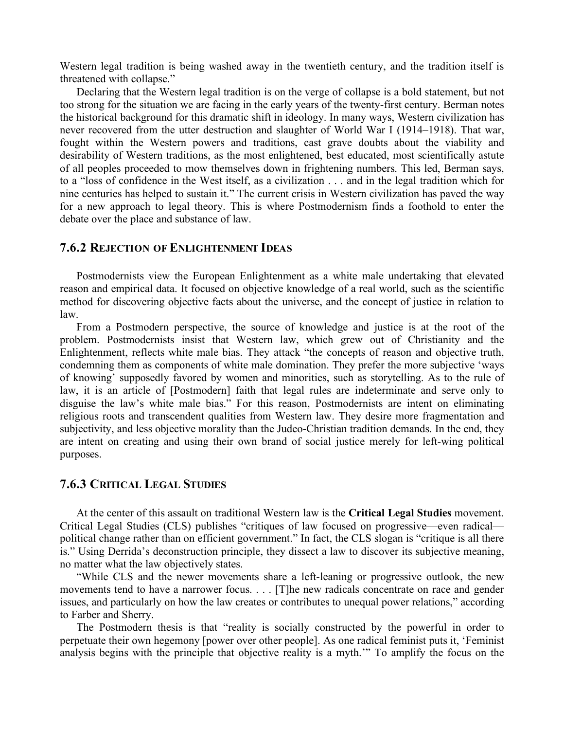Western legal tradition is being washed away in the twentieth century, and the tradition itself is threatened with collapse."

Declaring that the Western legal tradition is on the verge of collapse is a bold statement, but not too strong for the situation we are facing in the early years of the twenty-first century. Berman notes the historical background for this dramatic shift in ideology. In many ways, Western civilization has never recovered from the utter destruction and slaughter of World War I (1914–1918). That war, fought within the Western powers and traditions, cast grave doubts about the viability and desirability of Western traditions, as the most enlightened, best educated, most scientifically astute of all peoples proceeded to mow themselves down in frightening numbers. This led, Berman says, to a "loss of confidence in the West itself, as a civilization . . . and in the legal tradition which for nine centuries has helped to sustain it." The current crisis in Western civilization has paved the way for a new approach to legal theory. This is where Postmodernism finds a foothold to enter the debate over the place and substance of law.

#### **7.6.2 REJECTION OFENLIGHTENMENT IDEAS**

Postmodernists view the European Enlightenment as a white male undertaking that elevated reason and empirical data. It focused on objective knowledge of a real world, such as the scientific method for discovering objective facts about the universe, and the concept of justice in relation to law.

From a Postmodern perspective, the source of knowledge and justice is at the root of the problem. Postmodernists insist that Western law, which grew out of Christianity and the Enlightenment, reflects white male bias. They attack "the concepts of reason and objective truth, condemning them as components of white male domination. They prefer the more subjective 'ways of knowing' supposedly favored by women and minorities, such as storytelling. As to the rule of law, it is an article of [Postmodern] faith that legal rules are indeterminate and serve only to disguise the law's white male bias." For this reason, Postmodernists are intent on eliminating religious roots and transcendent qualities from Western law. They desire more fragmentation and subjectivity, and less objective morality than the Judeo-Christian tradition demands. In the end, they are intent on creating and using their own brand of social justice merely for left-wing political purposes.

## **7.6.3 CRITICAL LEGAL STUDIES**

At the center of this assault on traditional Western law is the **Critical Legal Studies** movement. Critical Legal Studies (CLS) publishes "critiques of law focused on progressive—even radical political change rather than on efficient government." In fact, the CLS slogan is "critique is all there is." Using Derrida's deconstruction principle, they dissect a law to discover its subjective meaning, no matter what the law objectively states.

"While CLS and the newer movements share a left-leaning or progressive outlook, the new movements tend to have a narrower focus. . . . [T]he new radicals concentrate on race and gender issues, and particularly on how the law creates or contributes to unequal power relations," according to Farber and Sherry.

The Postmodern thesis is that "reality is socially constructed by the powerful in order to perpetuate their own hegemony [power over other people]. As one radical feminist puts it, 'Feminist analysis begins with the principle that objective reality is a myth.'" To amplify the focus on the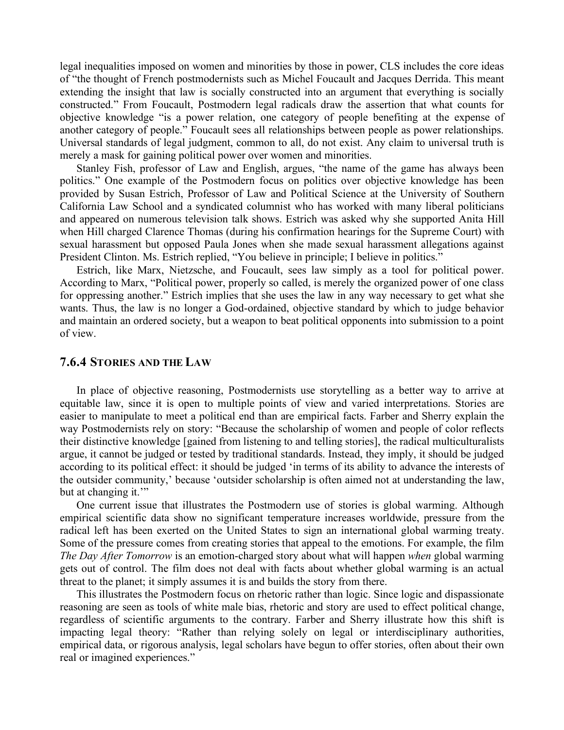legal inequalities imposed on women and minorities by those in power, CLS includes the core ideas of "the thought of French postmodernists such as Michel Foucault and Jacques Derrida. This meant extending the insight that law is socially constructed into an argument that everything is socially constructed." From Foucault, Postmodern legal radicals draw the assertion that what counts for objective knowledge "is a power relation, one category of people benefiting at the expense of another category of people." Foucault sees all relationships between people as power relationships. Universal standards of legal judgment, common to all, do not exist. Any claim to universal truth is merely a mask for gaining political power over women and minorities.

Stanley Fish, professor of Law and English, argues, "the name of the game has always been politics." One example of the Postmodern focus on politics over objective knowledge has been provided by Susan Estrich, Professor of Law and Political Science at the University of Southern California Law School and a syndicated columnist who has worked with many liberal politicians and appeared on numerous television talk shows. Estrich was asked why she supported Anita Hill when Hill charged Clarence Thomas (during his confirmation hearings for the Supreme Court) with sexual harassment but opposed Paula Jones when she made sexual harassment allegations against President Clinton. Ms. Estrich replied, "You believe in principle; I believe in politics."

Estrich, like Marx, Nietzsche, and Foucault, sees law simply as a tool for political power. According to Marx, "Political power, properly so called, is merely the organized power of one class for oppressing another." Estrich implies that she uses the law in any way necessary to get what she wants. Thus, the law is no longer a God-ordained, objective standard by which to judge behavior and maintain an ordered society, but a weapon to beat political opponents into submission to a point of view.

#### **7.6.4 STORIES AND THE LAW**

In place of objective reasoning, Postmodernists use storytelling as a better way to arrive at equitable law, since it is open to multiple points of view and varied interpretations. Stories are easier to manipulate to meet a political end than are empirical facts. Farber and Sherry explain the way Postmodernists rely on story: "Because the scholarship of women and people of color reflects their distinctive knowledge [gained from listening to and telling stories], the radical multiculturalists argue, it cannot be judged or tested by traditional standards. Instead, they imply, it should be judged according to its political effect: it should be judged 'in terms of its ability to advance the interests of the outsider community,' because 'outsider scholarship is often aimed not at understanding the law, but at changing it."

One current issue that illustrates the Postmodern use of stories is global warming. Although empirical scientific data show no significant temperature increases worldwide, pressure from the radical left has been exerted on the United States to sign an international global warming treaty. Some of the pressure comes from creating stories that appeal to the emotions. For example, the film *The Day After Tomorrow* is an emotion-charged story about what will happen *when* global warming gets out of control. The film does not deal with facts about whether global warming is an actual threat to the planet; it simply assumes it is and builds the story from there.

This illustrates the Postmodern focus on rhetoric rather than logic. Since logic and dispassionate reasoning are seen as tools of white male bias, rhetoric and story are used to effect political change, regardless of scientific arguments to the contrary. Farber and Sherry illustrate how this shift is impacting legal theory: "Rather than relying solely on legal or interdisciplinary authorities, empirical data, or rigorous analysis, legal scholars have begun to offer stories, often about their own real or imagined experiences."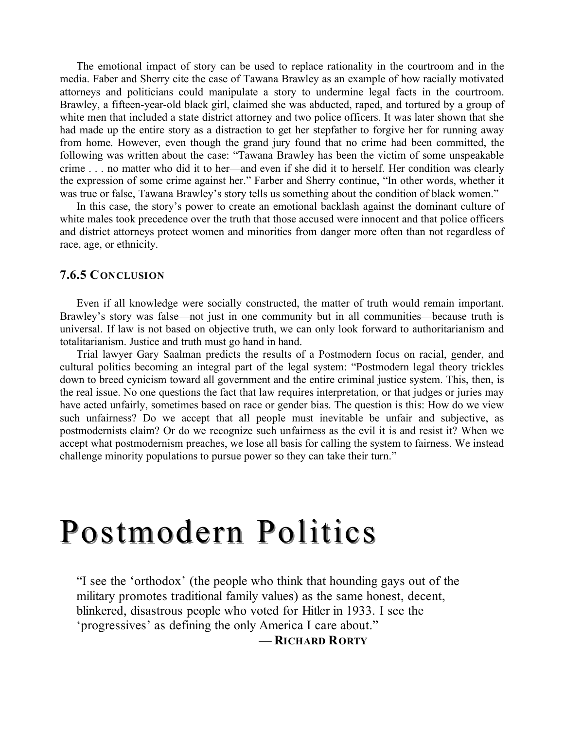The emotional impact of story can be used to replace rationality in the courtroom and in the media. Faber and Sherry cite the case of Tawana Brawley as an example of how racially motivated attorneys and politicians could manipulate a story to undermine legal facts in the courtroom. Brawley, a fifteen-year-old black girl, claimed she was abducted, raped, and tortured by a group of white men that included a state district attorney and two police officers. It was later shown that she had made up the entire story as a distraction to get her stepfather to forgive her for running away from home. However, even though the grand jury found that no crime had been committed, the following was written about the case: "Tawana Brawley has been the victim of some unspeakable crime . . . no matter who did it to her—and even if she did it to herself. Her condition was clearly the expression of some crime against her." Farber and Sherry continue, "In other words, whether it was true or false, Tawana Brawley's story tells us something about the condition of black women."

In this case, the story's power to create an emotional backlash against the dominant culture of white males took precedence over the truth that those accused were innocent and that police officers and district attorneys protect women and minorities from danger more often than not regardless of race, age, or ethnicity.

# **7.6.5 CONCLUSION**

Even if all knowledge were socially constructed, the matter of truth would remain important. Brawley's story was false—not just in one community but in all communities—because truth is universal. If law is not based on objective truth, we can only look forward to authoritarianism and totalitarianism. Justice and truth must go hand in hand.

Trial lawyer Gary Saalman predicts the results of a Postmodern focus on racial, gender, and cultural politics becoming an integral part of the legal system: "Postmodern legal theory trickles down to breed cynicism toward all government and the entire criminal justice system. This, then, is the real issue. No one questions the fact that law requires interpretation, or that judges or juries may have acted unfairly, sometimes based on race or gender bias. The question is this: How do we view such unfairness? Do we accept that all people must inevitable be unfair and subjective, as postmodernists claim? Or do we recognize such unfairness as the evil it is and resist it? When we accept what postmodernism preaches, we lose all basis for calling the system to fairness. We instead challenge minority populations to pursue power so they can take their turn."

# Postmodern Politics

"I see the 'orthodox' (the people who think that hounding gays out of the military promotes traditional family values) as the same honest, decent, blinkered, disastrous people who voted for Hitler in 1933. I see the 'progressives' as defining the only America I care about." **— RICHARD RORTY**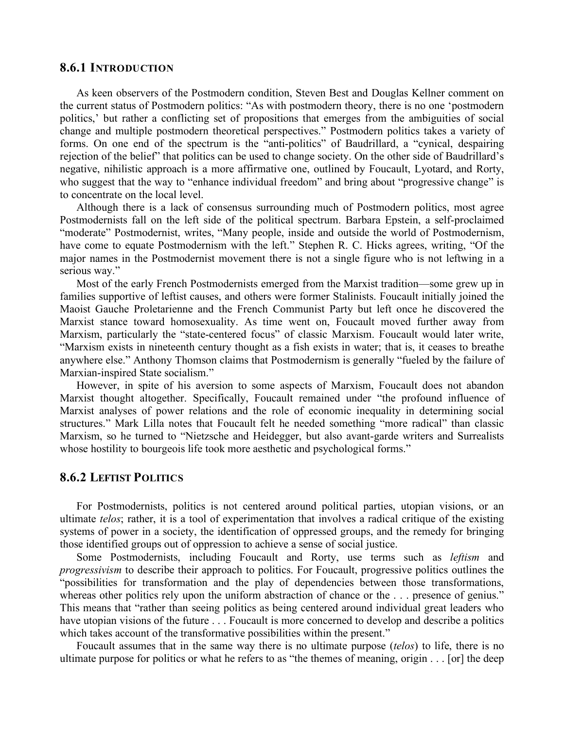# **8.6.1 INTRODUCTION**

As keen observers of the Postmodern condition, Steven Best and Douglas Kellner comment on the current status of Postmodern politics: "As with postmodern theory, there is no one 'postmodern politics,' but rather a conflicting set of propositions that emerges from the ambiguities of social change and multiple postmodern theoretical perspectives." Postmodern politics takes a variety of forms. On one end of the spectrum is the "anti-politics" of Baudrillard, a "cynical, despairing rejection of the belief" that politics can be used to change society. On the other side of Baudrillard's negative, nihilistic approach is a more affirmative one, outlined by Foucault, Lyotard, and Rorty, who suggest that the way to "enhance individual freedom" and bring about "progressive change" is to concentrate on the local level.

Although there is a lack of consensus surrounding much of Postmodern politics, most agree Postmodernists fall on the left side of the political spectrum. Barbara Epstein, a self-proclaimed "moderate" Postmodernist, writes, "Many people, inside and outside the world of Postmodernism, have come to equate Postmodernism with the left." Stephen R. C. Hicks agrees, writing, "Of the major names in the Postmodernist movement there is not a single figure who is not leftwing in a serious way."

Most of the early French Postmodernists emerged from the Marxist tradition—some grew up in families supportive of leftist causes, and others were former Stalinists. Foucault initially joined the Maoist Gauche Proletarienne and the French Communist Party but left once he discovered the Marxist stance toward homosexuality. As time went on, Foucault moved further away from Marxism, particularly the "state-centered focus" of classic Marxism. Foucault would later write, "Marxism exists in nineteenth century thought as a fish exists in water; that is, it ceases to breathe anywhere else." Anthony Thomson claims that Postmodernism is generally "fueled by the failure of Marxian-inspired State socialism."

However, in spite of his aversion to some aspects of Marxism, Foucault does not abandon Marxist thought altogether. Specifically, Foucault remained under "the profound influence of Marxist analyses of power relations and the role of economic inequality in determining social structures." Mark Lilla notes that Foucault felt he needed something "more radical" than classic Marxism, so he turned to "Nietzsche and Heidegger, but also avant-garde writers and Surrealists whose hostility to bourgeois life took more aesthetic and psychological forms."

#### **8.6.2 LEFTIST POLITICS**

For Postmodernists, politics is not centered around political parties, utopian visions, or an ultimate *telos*; rather, it is a tool of experimentation that involves a radical critique of the existing systems of power in a society, the identification of oppressed groups, and the remedy for bringing those identified groups out of oppression to achieve a sense of social justice.

Some Postmodernists, including Foucault and Rorty, use terms such as *leftism* and *progressivism* to describe their approach to politics. For Foucault, progressive politics outlines the "possibilities for transformation and the play of dependencies between those transformations, whereas other politics rely upon the uniform abstraction of chance or the ... presence of genius." This means that "rather than seeing politics as being centered around individual great leaders who have utopian visions of the future . . . Foucault is more concerned to develop and describe a politics which takes account of the transformative possibilities within the present."

Foucault assumes that in the same way there is no ultimate purpose (*telos*) to life, there is no ultimate purpose for politics or what he refers to as "the themes of meaning, origin . . . [or] the deep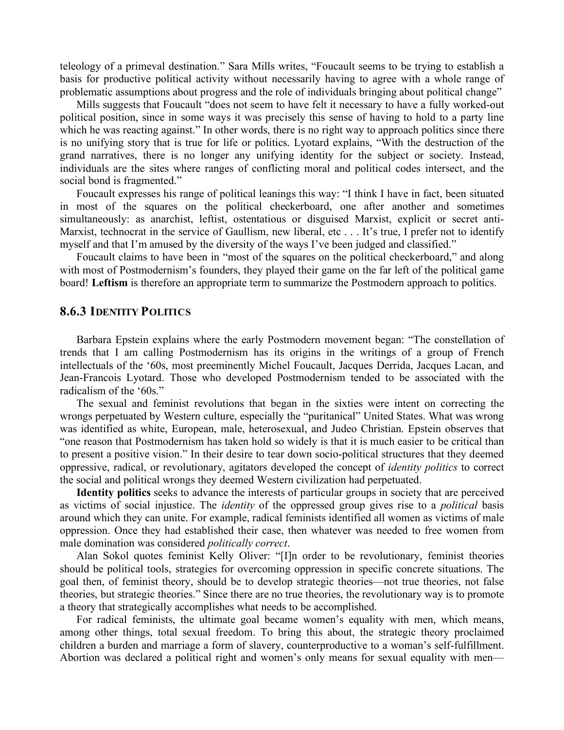teleology of a primeval destination." Sara Mills writes, "Foucault seems to be trying to establish a basis for productive political activity without necessarily having to agree with a whole range of problematic assumptions about progress and the role of individuals bringing about political change"

Mills suggests that Foucault "does not seem to have felt it necessary to have a fully worked-out political position, since in some ways it was precisely this sense of having to hold to a party line which he was reacting against." In other words, there is no right way to approach politics since there is no unifying story that is true for life or politics. Lyotard explains, "With the destruction of the grand narratives, there is no longer any unifying identity for the subject or society. Instead, individuals are the sites where ranges of conflicting moral and political codes intersect, and the social bond is fragmented."

Foucault expresses his range of political leanings this way: "I think I have in fact, been situated in most of the squares on the political checkerboard, one after another and sometimes simultaneously: as anarchist, leftist, ostentatious or disguised Marxist, explicit or secret anti-Marxist, technocrat in the service of Gaullism, new liberal, etc . . . It's true, I prefer not to identify myself and that I'm amused by the diversity of the ways I've been judged and classified."

Foucault claims to have been in "most of the squares on the political checkerboard," and along with most of Postmodernism's founders, they played their game on the far left of the political game board! **Leftism** is therefore an appropriate term to summarize the Postmodern approach to politics.

# **8.6.3 IDENTITY POLITICS**

Barbara Epstein explains where the early Postmodern movement began: "The constellation of trends that I am calling Postmodernism has its origins in the writings of a group of French intellectuals of the '60s, most preeminently Michel Foucault, Jacques Derrida, Jacques Lacan, and Jean-Francois Lyotard. Those who developed Postmodernism tended to be associated with the radicalism of the '60s."

The sexual and feminist revolutions that began in the sixties were intent on correcting the wrongs perpetuated by Western culture, especially the "puritanical" United States. What was wrong was identified as white, European, male, heterosexual, and Judeo Christian. Epstein observes that "one reason that Postmodernism has taken hold so widely is that it is much easier to be critical than to present a positive vision." In their desire to tear down socio-political structures that they deemed oppressive, radical, or revolutionary, agitators developed the concept of *identity politics* to correct the social and political wrongs they deemed Western civilization had perpetuated.

**Identity politics** seeks to advance the interests of particular groups in society that are perceived as victims of social injustice. The *identity* of the oppressed group gives rise to a *political* basis around which they can unite. For example, radical feminists identified all women as victims of male oppression. Once they had established their case, then whatever was needed to free women from male domination was considered *politically correct*.

Alan Sokol quotes feminist Kelly Oliver: "[I]n order to be revolutionary, feminist theories should be political tools, strategies for overcoming oppression in specific concrete situations. The goal then, of feminist theory, should be to develop strategic theories—not true theories, not false theories, but strategic theories." Since there are no true theories, the revolutionary way is to promote a theory that strategically accomplishes what needs to be accomplished.

For radical feminists, the ultimate goal became women's equality with men, which means, among other things, total sexual freedom. To bring this about, the strategic theory proclaimed children a burden and marriage a form of slavery, counterproductive to a woman's self-fulfillment. Abortion was declared a political right and women's only means for sexual equality with men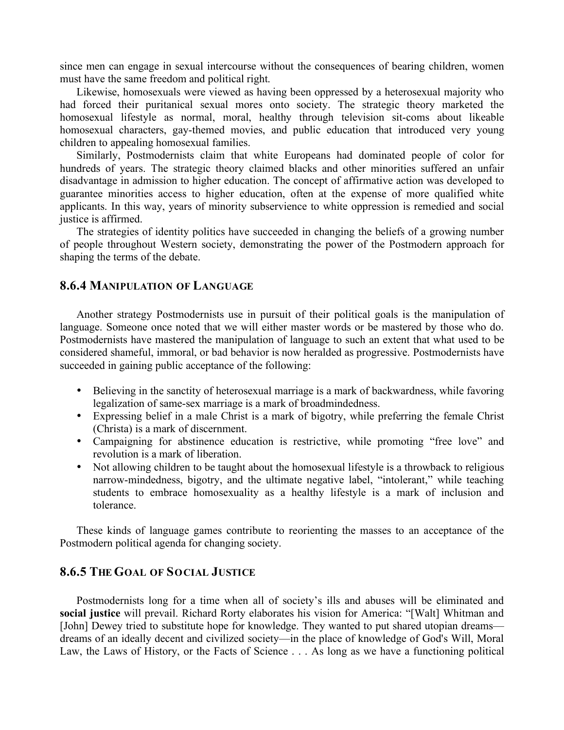since men can engage in sexual intercourse without the consequences of bearing children, women must have the same freedom and political right.

Likewise, homosexuals were viewed as having been oppressed by a heterosexual majority who had forced their puritanical sexual mores onto society. The strategic theory marketed the homosexual lifestyle as normal, moral, healthy through television sit-coms about likeable homosexual characters, gay-themed movies, and public education that introduced very young children to appealing homosexual families.

Similarly, Postmodernists claim that white Europeans had dominated people of color for hundreds of years. The strategic theory claimed blacks and other minorities suffered an unfair disadvantage in admission to higher education. The concept of affirmative action was developed to guarantee minorities access to higher education, often at the expense of more qualified white applicants. In this way, years of minority subservience to white oppression is remedied and social justice is affirmed.

The strategies of identity politics have succeeded in changing the beliefs of a growing number of people throughout Western society, demonstrating the power of the Postmodern approach for shaping the terms of the debate.

## **8.6.4 MANIPULATION OF LANGUAGE**

Another strategy Postmodernists use in pursuit of their political goals is the manipulation of language. Someone once noted that we will either master words or be mastered by those who do. Postmodernists have mastered the manipulation of language to such an extent that what used to be considered shameful, immoral, or bad behavior is now heralded as progressive. Postmodernists have succeeded in gaining public acceptance of the following:

- Believing in the sanctity of heterosexual marriage is a mark of backwardness, while favoring legalization of same-sex marriage is a mark of broadmindedness.
- Expressing belief in a male Christ is a mark of bigotry, while preferring the female Christ (Christa) is a mark of discernment.
- Campaigning for abstinence education is restrictive, while promoting "free love" and revolution is a mark of liberation.
- Not allowing children to be taught about the homosexual lifestyle is a throwback to religious narrow-mindedness, bigotry, and the ultimate negative label, "intolerant," while teaching students to embrace homosexuality as a healthy lifestyle is a mark of inclusion and tolerance.

These kinds of language games contribute to reorienting the masses to an acceptance of the Postmodern political agenda for changing society.

# **8.6.5 THE GOAL OF SOCIAL JUSTICE**

Postmodernists long for a time when all of society's ills and abuses will be eliminated and **social justice** will prevail. Richard Rorty elaborates his vision for America: "[Walt] Whitman and [John] Dewey tried to substitute hope for knowledge. They wanted to put shared utopian dreams dreams of an ideally decent and civilized society—in the place of knowledge of God's Will, Moral Law, the Laws of History, or the Facts of Science . . . As long as we have a functioning political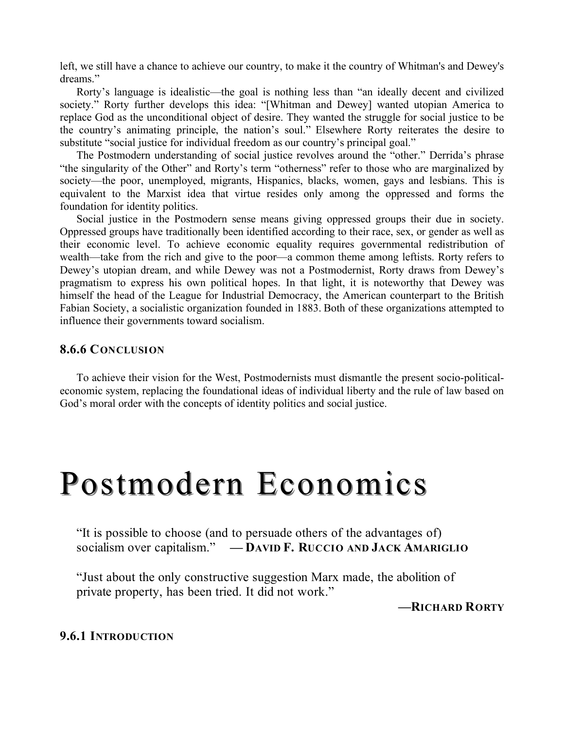left, we still have a chance to achieve our country, to make it the country of Whitman's and Dewey's dreams."

Rorty's language is idealistic—the goal is nothing less than "an ideally decent and civilized society." Rorty further develops this idea: "[Whitman and Dewey] wanted utopian America to replace God as the unconditional object of desire. They wanted the struggle for social justice to be the country's animating principle, the nation's soul." Elsewhere Rorty reiterates the desire to substitute "social justice for individual freedom as our country's principal goal."

The Postmodern understanding of social justice revolves around the "other." Derrida's phrase "the singularity of the Other" and Rorty's term "otherness" refer to those who are marginalized by society—the poor, unemployed, migrants, Hispanics, blacks, women, gays and lesbians. This is equivalent to the Marxist idea that virtue resides only among the oppressed and forms the foundation for identity politics.

Social justice in the Postmodern sense means giving oppressed groups their due in society. Oppressed groups have traditionally been identified according to their race, sex, or gender as well as their economic level. To achieve economic equality requires governmental redistribution of wealth—take from the rich and give to the poor—a common theme among leftists. Rorty refers to Dewey's utopian dream, and while Dewey was not a Postmodernist, Rorty draws from Dewey's pragmatism to express his own political hopes. In that light, it is noteworthy that Dewey was himself the head of the League for Industrial Democracy, the American counterpart to the British Fabian Society, a socialistic organization founded in 1883. Both of these organizations attempted to influence their governments toward socialism.

#### **8.6.6 CONCLUSION**

To achieve their vision for the West, Postmodernists must dismantle the present socio-politicaleconomic system, replacing the foundational ideas of individual liberty and the rule of law based on God's moral order with the concepts of identity politics and social justice.

# Postmodern Economics

"It is possible to choose (and to persuade others of the advantages of) socialism over capitalism." **— DAVID F. RUCCIO AND JACK AMARIGLIO**

"Just about the only constructive suggestion Marx made, the abolition of private property, has been tried. It did not work."

**—RICHARD RORTY**

# **9.6.1 INTRODUCTION**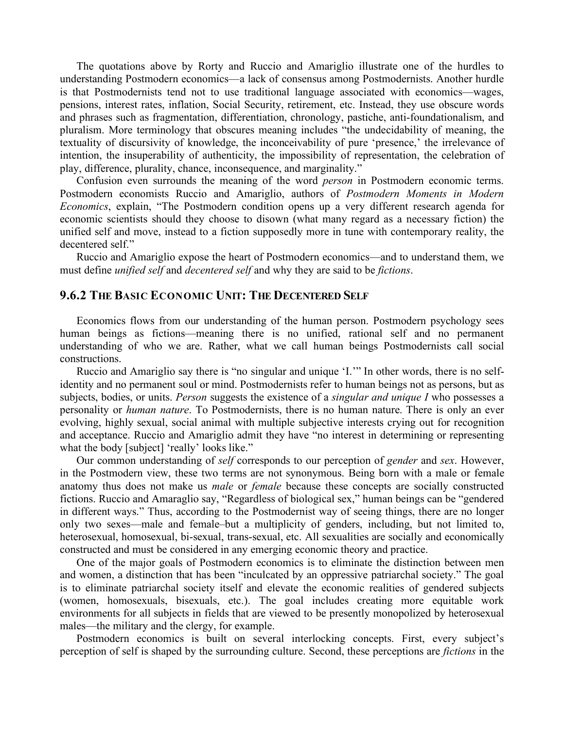The quotations above by Rorty and Ruccio and Amariglio illustrate one of the hurdles to understanding Postmodern economics—a lack of consensus among Postmodernists. Another hurdle is that Postmodernists tend not to use traditional language associated with economics—wages, pensions, interest rates, inflation, Social Security, retirement, etc. Instead, they use obscure words and phrases such as fragmentation, differentiation, chronology, pastiche, anti-foundationalism, and pluralism. More terminology that obscures meaning includes "the undecidability of meaning, the textuality of discursivity of knowledge, the inconceivability of pure 'presence,' the irrelevance of intention, the insuperability of authenticity, the impossibility of representation, the celebration of play, difference, plurality, chance, inconsequence, and marginality."

Confusion even surrounds the meaning of the word *person* in Postmodern economic terms. Postmodern economists Ruccio and Amariglio, authors of *Postmodern Moments in Modern Economics*, explain, "The Postmodern condition opens up a very different research agenda for economic scientists should they choose to disown (what many regard as a necessary fiction) the unified self and move, instead to a fiction supposedly more in tune with contemporary reality, the decentered self."

Ruccio and Amariglio expose the heart of Postmodern economics—and to understand them, we must define *unified self* and *decentered self* and why they are said to be *fictions*.

## **9.6.2 THE BASIC ECONOMIC UNIT: THE DECENTERED SELF**

Economics flows from our understanding of the human person. Postmodern psychology sees human beings as fictions—meaning there is no unified, rational self and no permanent understanding of who we are. Rather, what we call human beings Postmodernists call social constructions.

Ruccio and Amariglio say there is "no singular and unique 'I.'" In other words, there is no selfidentity and no permanent soul or mind. Postmodernists refer to human beings not as persons, but as subjects, bodies, or units. *Person* suggests the existence of a *singular and unique I* who possesses a personality or *human nature*. To Postmodernists, there is no human nature. There is only an ever evolving, highly sexual, social animal with multiple subjective interests crying out for recognition and acceptance. Ruccio and Amariglio admit they have "no interest in determining or representing what the body [subject] 'really' looks like."

Our common understanding of *self* corresponds to our perception of *gender* and *sex*. However, in the Postmodern view, these two terms are not synonymous. Being born with a male or female anatomy thus does not make us *male* or *female* because these concepts are socially constructed fictions. Ruccio and Amaraglio say, "Regardless of biological sex," human beings can be "gendered in different ways." Thus, according to the Postmodernist way of seeing things, there are no longer only two sexes—male and female–but a multiplicity of genders, including, but not limited to, heterosexual, homosexual, bi-sexual, trans-sexual, etc. All sexualities are socially and economically constructed and must be considered in any emerging economic theory and practice.

One of the major goals of Postmodern economics is to eliminate the distinction between men and women, a distinction that has been "inculcated by an oppressive patriarchal society." The goal is to eliminate patriarchal society itself and elevate the economic realities of gendered subjects (women, homosexuals, bisexuals, etc.). The goal includes creating more equitable work environments for all subjects in fields that are viewed to be presently monopolized by heterosexual males—the military and the clergy, for example.

Postmodern economics is built on several interlocking concepts. First, every subject's perception of self is shaped by the surrounding culture. Second, these perceptions are *fictions* in the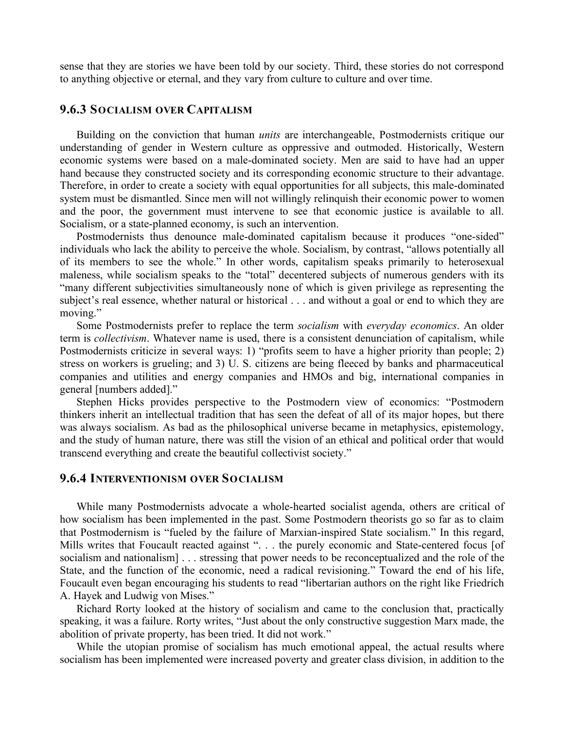sense that they are stories we have been told by our society. Third, these stories do not correspond to anything objective or eternal, and they vary from culture to culture and over time.

#### **9.6.3 SOCIALISM OVER CAPITALISM**

Building on the conviction that human *units* are interchangeable, Postmodernists critique our understanding of gender in Western culture as oppressive and outmoded. Historically, Western economic systems were based on a male-dominated society. Men are said to have had an upper hand because they constructed society and its corresponding economic structure to their advantage. Therefore, in order to create a society with equal opportunities for all subjects, this male-dominated system must be dismantled. Since men will not willingly relinquish their economic power to women and the poor, the government must intervene to see that economic justice is available to all. Socialism, or a state-planned economy, is such an intervention.

Postmodernists thus denounce male-dominated capitalism because it produces "one-sided" individuals who lack the ability to perceive the whole. Socialism, by contrast, "allows potentially all of its members to see the whole." In other words, capitalism speaks primarily to heterosexual maleness, while socialism speaks to the "total" decentered subjects of numerous genders with its "many different subjectivities simultaneously none of which is given privilege as representing the subject's real essence, whether natural or historical . . . and without a goal or end to which they are moving."

Some Postmodernists prefer to replace the term *socialism* with *everyday economics*. An older term is *collectivism*. Whatever name is used, there is a consistent denunciation of capitalism, while Postmodernists criticize in several ways: 1) "profits seem to have a higher priority than people; 2) stress on workers is grueling; and 3) U. S. citizens are being fleeced by banks and pharmaceutical companies and utilities and energy companies and HMOs and big, international companies in general [numbers added]."

Stephen Hicks provides perspective to the Postmodern view of economics: "Postmodern thinkers inherit an intellectual tradition that has seen the defeat of all of its major hopes, but there was always socialism. As bad as the philosophical universe became in metaphysics, epistemology, and the study of human nature, there was still the vision of an ethical and political order that would transcend everything and create the beautiful collectivist society."

#### **9.6.4 INTERVENTIONISM OVER SOCIALISM**

While many Postmodernists advocate a whole-hearted socialist agenda, others are critical of how socialism has been implemented in the past. Some Postmodern theorists go so far as to claim that Postmodernism is "fueled by the failure of Marxian-inspired State socialism." In this regard, Mills writes that Foucault reacted against ". . . the purely economic and State-centered focus [of socialism and nationalism] . . . stressing that power needs to be reconceptualized and the role of the State, and the function of the economic, need a radical revisioning." Toward the end of his life, Foucault even began encouraging his students to read "libertarian authors on the right like Friedrich A. Hayek and Ludwig von Mises."

Richard Rorty looked at the history of socialism and came to the conclusion that, practically speaking, it was a failure. Rorty writes, "Just about the only constructive suggestion Marx made, the abolition of private property, has been tried. It did not work."

While the utopian promise of socialism has much emotional appeal, the actual results where socialism has been implemented were increased poverty and greater class division, in addition to the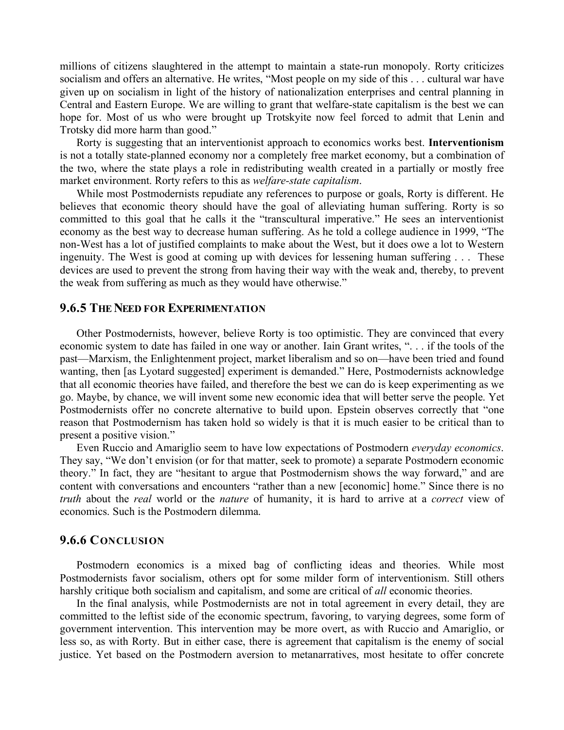millions of citizens slaughtered in the attempt to maintain a state-run monopoly. Rorty criticizes socialism and offers an alternative. He writes, "Most people on my side of this . . . cultural war have given up on socialism in light of the history of nationalization enterprises and central planning in Central and Eastern Europe. We are willing to grant that welfare-state capitalism is the best we can hope for. Most of us who were brought up Trotskyite now feel forced to admit that Lenin and Trotsky did more harm than good."

Rorty is suggesting that an interventionist approach to economics works best. **Interventionism** is not a totally state-planned economy nor a completely free market economy, but a combination of the two, where the state plays a role in redistributing wealth created in a partially or mostly free market environment. Rorty refers to this as *welfare-state capitalism*.

While most Postmodernists repudiate any references to purpose or goals, Rorty is different. He believes that economic theory should have the goal of alleviating human suffering. Rorty is so committed to this goal that he calls it the "transcultural imperative." He sees an interventionist economy as the best way to decrease human suffering. As he told a college audience in 1999, "The non-West has a lot of justified complaints to make about the West, but it does owe a lot to Western ingenuity. The West is good at coming up with devices for lessening human suffering . . . These devices are used to prevent the strong from having their way with the weak and, thereby, to prevent the weak from suffering as much as they would have otherwise."

#### **9.6.5 THE NEED FOR EXPERIMENTATION**

Other Postmodernists, however, believe Rorty is too optimistic. They are convinced that every economic system to date has failed in one way or another. Iain Grant writes, ". . . if the tools of the past—Marxism, the Enlightenment project, market liberalism and so on—have been tried and found wanting, then [as Lyotard suggested] experiment is demanded." Here, Postmodernists acknowledge that all economic theories have failed, and therefore the best we can do is keep experimenting as we go. Maybe, by chance, we will invent some new economic idea that will better serve the people. Yet Postmodernists offer no concrete alternative to build upon. Epstein observes correctly that "one reason that Postmodernism has taken hold so widely is that it is much easier to be critical than to present a positive vision."

Even Ruccio and Amariglio seem to have low expectations of Postmodern *everyday economics*. They say, "We don't envision (or for that matter, seek to promote) a separate Postmodern economic theory." In fact, they are "hesitant to argue that Postmodernism shows the way forward," and are content with conversations and encounters "rather than a new [economic] home." Since there is no *truth* about the *real* world or the *nature* of humanity, it is hard to arrive at a *correct* view of economics. Such is the Postmodern dilemma.

#### **9.6.6 CONCLUSION**

Postmodern economics is a mixed bag of conflicting ideas and theories. While most Postmodernists favor socialism, others opt for some milder form of interventionism. Still others harshly critique both socialism and capitalism, and some are critical of *all* economic theories.

In the final analysis, while Postmodernists are not in total agreement in every detail, they are committed to the leftist side of the economic spectrum, favoring, to varying degrees, some form of government intervention. This intervention may be more overt, as with Ruccio and Amariglio, or less so, as with Rorty. But in either case, there is agreement that capitalism is the enemy of social justice. Yet based on the Postmodern aversion to metanarratives, most hesitate to offer concrete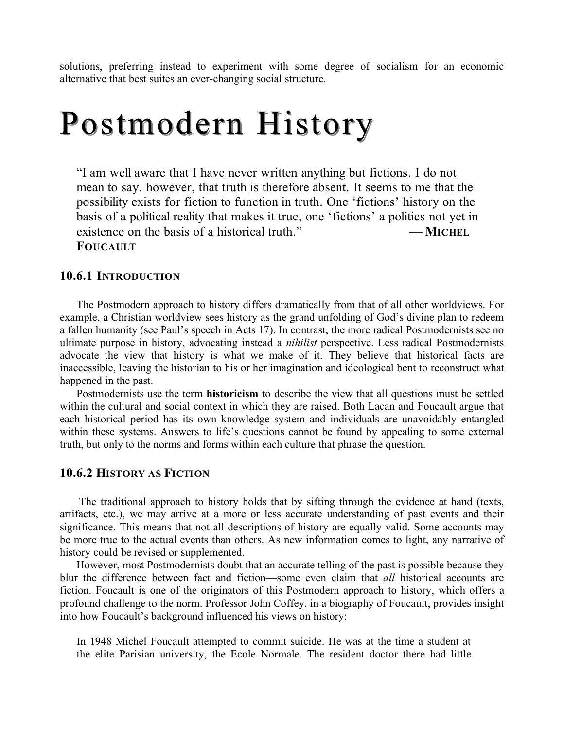solutions, preferring instead to experiment with some degree of socialism for an economic alternative that best suites an ever-changing social structure.

# Postmodern History

"I am well aware that I have never written anything but fictions. I do not mean to say, however, that truth is therefore absent. It seems to me that the possibility exists for fiction to function in truth. One 'fictions' history on the basis of a political reality that makes it true, one 'fictions' a politics not yet in existence on the basis of a historical truth." **— MICHEL FOUCAULT**

#### **10.6.1 INTRODUCTION**

The Postmodern approach to history differs dramatically from that of all other worldviews. For example, a Christian worldview sees history as the grand unfolding of God's divine plan to redeem a fallen humanity (see Paul's speech in Acts 17). In contrast, the more radical Postmodernists see no ultimate purpose in history, advocating instead a *nihilist* perspective. Less radical Postmodernists advocate the view that history is what we make of it. They believe that historical facts are inaccessible, leaving the historian to his or her imagination and ideological bent to reconstruct what happened in the past.

Postmodernists use the term **historicism** to describe the view that all questions must be settled within the cultural and social context in which they are raised. Both Lacan and Foucault argue that each historical period has its own knowledge system and individuals are unavoidably entangled within these systems. Answers to life's questions cannot be found by appealing to some external truth, but only to the norms and forms within each culture that phrase the question.

# **10.6.2 HISTORY AS FICTION**

The traditional approach to history holds that by sifting through the evidence at hand (texts, artifacts, etc.), we may arrive at a more or less accurate understanding of past events and their significance. This means that not all descriptions of history are equally valid. Some accounts may be more true to the actual events than others. As new information comes to light, any narrative of history could be revised or supplemented.

However, most Postmodernists doubt that an accurate telling of the past is possible because they blur the difference between fact and fiction—some even claim that *all* historical accounts are fiction. Foucault is one of the originators of this Postmodern approach to history, which offers a profound challenge to the norm. Professor John Coffey, in a biography of Foucault, provides insight into how Foucault's background influenced his views on history:

In 1948 Michel Foucault attempted to commit suicide. He was at the time a student at the elite Parisian university, the Ecole Normale. The resident doctor there had little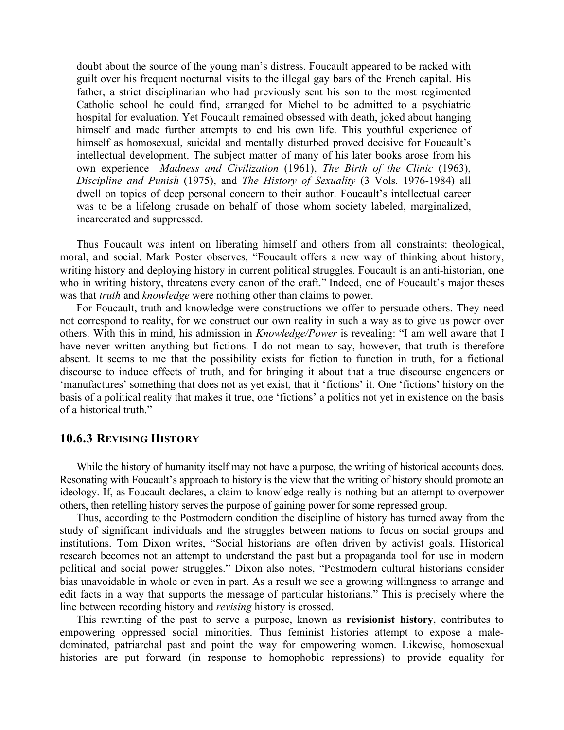doubt about the source of the young man's distress. Foucault appeared to be racked with guilt over his frequent nocturnal visits to the illegal gay bars of the French capital. His father, a strict disciplinarian who had previously sent his son to the most regimented Catholic school he could find, arranged for Michel to be admitted to a psychiatric hospital for evaluation. Yet Foucault remained obsessed with death, joked about hanging himself and made further attempts to end his own life. This youthful experience of himself as homosexual, suicidal and mentally disturbed proved decisive for Foucault's intellectual development. The subject matter of many of his later books arose from his own experience—*Madness and Civilization* (1961), *The Birth of the Clinic* (1963), *Discipline and Punish* (1975), and *The History of Sexuality* (3 Vols. 1976-1984) all dwell on topics of deep personal concern to their author. Foucault's intellectual career was to be a lifelong crusade on behalf of those whom society labeled, marginalized, incarcerated and suppressed.

Thus Foucault was intent on liberating himself and others from all constraints: theological, moral, and social. Mark Poster observes, "Foucault offers a new way of thinking about history, writing history and deploying history in current political struggles. Foucault is an anti-historian, one who in writing history, threatens every canon of the craft." Indeed, one of Foucault's major theses was that *truth* and *knowledge* were nothing other than claims to power.

For Foucault, truth and knowledge were constructions we offer to persuade others. They need not correspond to reality, for we construct our own reality in such a way as to give us power over others. With this in mind, his admission in *Knowledge/Power* is revealing: "I am well aware that I have never written anything but fictions. I do not mean to say, however, that truth is therefore absent. It seems to me that the possibility exists for fiction to function in truth, for a fictional discourse to induce effects of truth, and for bringing it about that a true discourse engenders or 'manufactures' something that does not as yet exist, that it 'fictions' it. One 'fictions' history on the basis of a political reality that makes it true, one 'fictions' a politics not yet in existence on the basis of a historical truth."

#### **10.6.3 REVISING HISTORY**

While the history of humanity itself may not have a purpose, the writing of historical accounts does. Resonating with Foucault's approach to history is the view that the writing of history should promote an ideology. If, as Foucault declares, a claim to knowledge really is nothing but an attempt to overpower others, then retelling history serves the purpose of gaining power for some repressed group.

Thus, according to the Postmodern condition the discipline of history has turned away from the study of significant individuals and the struggles between nations to focus on social groups and institutions. Tom Dixon writes, "Social historians are often driven by activist goals. Historical research becomes not an attempt to understand the past but a propaganda tool for use in modern political and social power struggles." Dixon also notes, "Postmodern cultural historians consider bias unavoidable in whole or even in part. As a result we see a growing willingness to arrange and edit facts in a way that supports the message of particular historians." This is precisely where the line between recording history and *revising* history is crossed.

This rewriting of the past to serve a purpose, known as **revisionist history**, contributes to empowering oppressed social minorities. Thus feminist histories attempt to expose a maledominated, patriarchal past and point the way for empowering women. Likewise, homosexual histories are put forward (in response to homophobic repressions) to provide equality for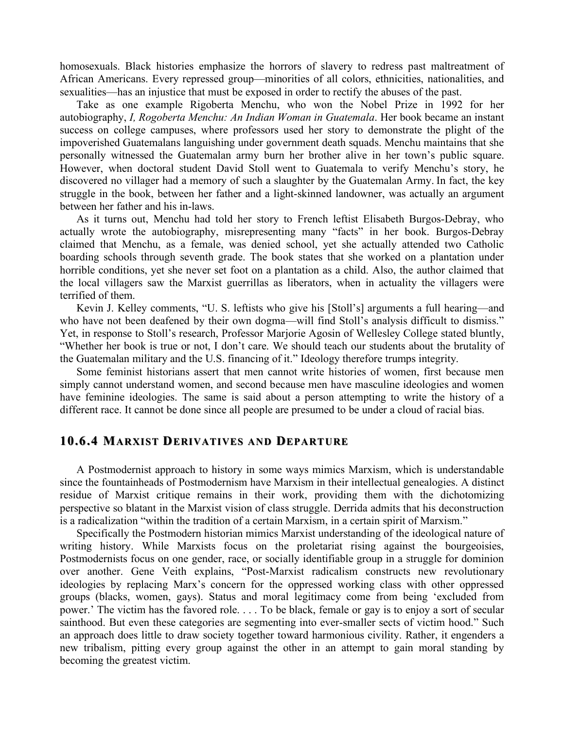homosexuals. Black histories emphasize the horrors of slavery to redress past maltreatment of African Americans. Every repressed group—minorities of all colors, ethnicities, nationalities, and sexualities—has an injustice that must be exposed in order to rectify the abuses of the past.

Take as one example Rigoberta Menchu, who won the Nobel Prize in 1992 for her autobiography, *I, Rogoberta Menchu: An Indian Woman in Guatemala*. Her book became an instant success on college campuses, where professors used her story to demonstrate the plight of the impoverished Guatemalans languishing under government death squads. Menchu maintains that she personally witnessed the Guatemalan army burn her brother alive in her town's public square. However, when doctoral student David Stoll went to Guatemala to verify Menchu's story, he discovered no villager had a memory of such a slaughter by the Guatemalan Army. In fact, the key struggle in the book, between her father and a light-skinned landowner, was actually an argument between her father and his in-laws.

As it turns out, Menchu had told her story to French leftist Elisabeth Burgos-Debray, who actually wrote the autobiography, misrepresenting many "facts" in her book. Burgos-Debray claimed that Menchu, as a female, was denied school, yet she actually attended two Catholic boarding schools through seventh grade. The book states that she worked on a plantation under horrible conditions, yet she never set foot on a plantation as a child. Also, the author claimed that the local villagers saw the Marxist guerrillas as liberators, when in actuality the villagers were terrified of them.

Kevin J. Kelley comments, "U. S. leftists who give his [Stoll's] arguments a full hearing—and who have not been deafened by their own dogma—will find Stoll's analysis difficult to dismiss." Yet, in response to Stoll's research, Professor Marjorie Agosin of Wellesley College stated bluntly, "Whether her book is true or not, I don't care. We should teach our students about the brutality of the Guatemalan military and the U.S. financing of it." Ideology therefore trumps integrity.

Some feminist historians assert that men cannot write histories of women, first because men simply cannot understand women, and second because men have masculine ideologies and women have feminine ideologies. The same is said about a person attempting to write the history of a different race. It cannot be done since all people are presumed to be under a cloud of racial bias.

#### **10.6.4 MARXIST DERIVATIVES AND DEPARTURE**

A Postmodernist approach to history in some ways mimics Marxism, which is understandable since the fountainheads of Postmodernism have Marxism in their intellectual genealogies. A distinct residue of Marxist critique remains in their work, providing them with the dichotomizing perspective so blatant in the Marxist vision of class struggle. Derrida admits that his deconstruction is a radicalization "within the tradition of a certain Marxism, in a certain spirit of Marxism."

Specifically the Postmodern historian mimics Marxist understanding of the ideological nature of writing history. While Marxists focus on the proletariat rising against the bourgeoisies, Postmodernists focus on one gender, race, or socially identifiable group in a struggle for dominion over another. Gene Veith explains, "Post-Marxist radicalism constructs new revolutionary ideologies by replacing Marx's concern for the oppressed working class with other oppressed groups (blacks, women, gays). Status and moral legitimacy come from being 'excluded from power.' The victim has the favored role. . . . To be black, female or gay is to enjoy a sort of secular sainthood. But even these categories are segmenting into ever-smaller sects of victim hood." Such an approach does little to draw society together toward harmonious civility. Rather, it engenders a new tribalism, pitting every group against the other in an attempt to gain moral standing by becoming the greatest victim.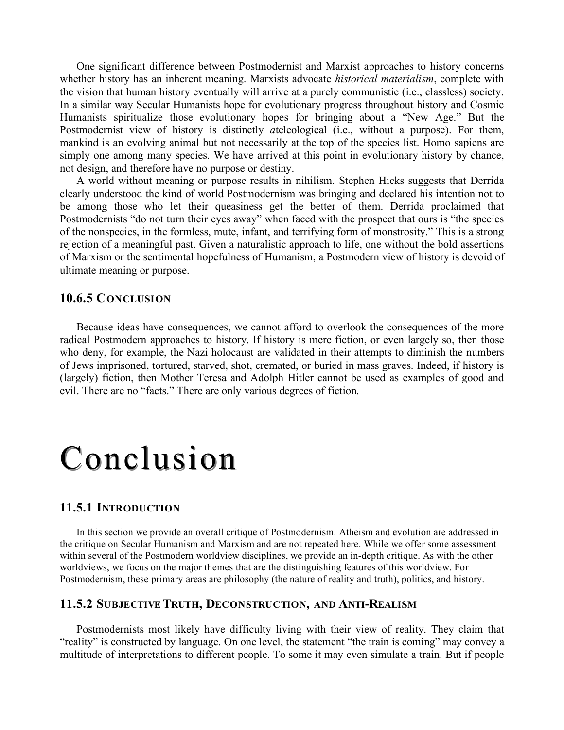One significant difference between Postmodernist and Marxist approaches to history concerns whether history has an inherent meaning. Marxists advocate *historical materialism*, complete with the vision that human history eventually will arrive at a purely communistic (i.e., classless) society. In a similar way Secular Humanists hope for evolutionary progress throughout history and Cosmic Humanists spiritualize those evolutionary hopes for bringing about a "New Age." But the Postmodernist view of history is distinctly *a*teleological (i.e., without a purpose). For them, mankind is an evolving animal but not necessarily at the top of the species list. Homo sapiens are simply one among many species. We have arrived at this point in evolutionary history by chance, not design, and therefore have no purpose or destiny.

A world without meaning or purpose results in nihilism. Stephen Hicks suggests that Derrida clearly understood the kind of world Postmodernism was bringing and declared his intention not to be among those who let their queasiness get the better of them. Derrida proclaimed that Postmodernists "do not turn their eyes away" when faced with the prospect that ours is "the species of the nonspecies, in the formless, mute, infant, and terrifying form of monstrosity." This is a strong rejection of a meaningful past. Given a naturalistic approach to life, one without the bold assertions of Marxism or the sentimental hopefulness of Humanism, a Postmodern view of history is devoid of ultimate meaning or purpose.

#### **10.6.5 CONCLUSION**

Because ideas have consequences, we cannot afford to overlook the consequences of the more radical Postmodern approaches to history. If history is mere fiction, or even largely so, then those who deny, for example, the Nazi holocaust are validated in their attempts to diminish the numbers of Jews imprisoned, tortured, starved, shot, cremated, or buried in mass graves. Indeed, if history is (largely) fiction, then Mother Teresa and Adolph Hitler cannot be used as examples of good and evil. There are no "facts." There are only various degrees of fiction.

# Conclusion

# **11.5.1 INTRODUCTION**

In this section we provide an overall critique of Postmodernism. Atheism and evolution are addressed in the critique on Secular Humanism and Marxism and are not repeated here. While we offer some assessment within several of the Postmodern worldview disciplines, we provide an in-depth critique. As with the other worldviews, we focus on the major themes that are the distinguishing features of this worldview. For Postmodernism, these primary areas are philosophy (the nature of reality and truth), politics, and history.

#### **11.5.2 SUBJECTIVE TRUTH, DECONSTRUCTION, AND ANTI-REALISM**

Postmodernists most likely have difficulty living with their view of reality. They claim that "reality" is constructed by language. On one level, the statement "the train is coming" may convey a multitude of interpretations to different people. To some it may even simulate a train. But if people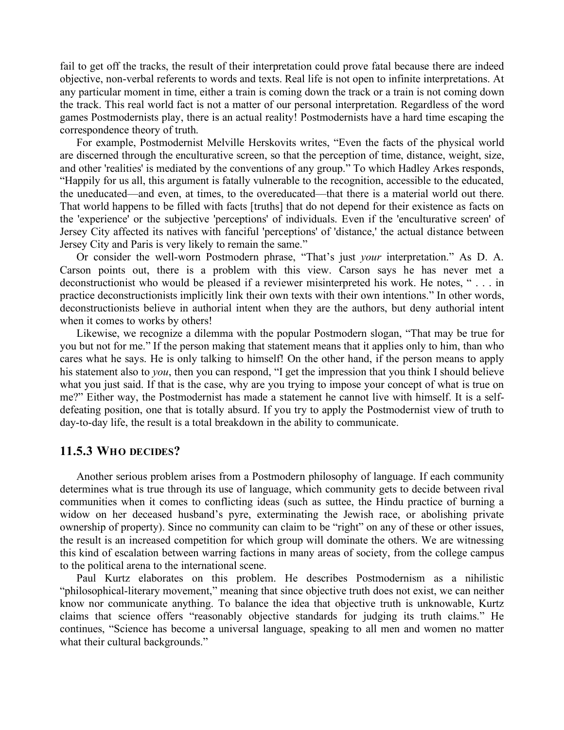fail to get off the tracks, the result of their interpretation could prove fatal because there are indeed objective, non-verbal referents to words and texts. Real life is not open to infinite interpretations. At any particular moment in time, either a train is coming down the track or a train is not coming down the track. This real world fact is not a matter of our personal interpretation. Regardless of the word games Postmodernists play, there is an actual reality! Postmodernists have a hard time escaping the correspondence theory of truth.

For example, Postmodernist Melville Herskovits writes, "Even the facts of the physical world are discerned through the enculturative screen, so that the perception of time, distance, weight, size, and other 'realities' is mediated by the conventions of any group." To which Hadley Arkes responds, "Happily for us all, this argument is fatally vulnerable to the recognition, accessible to the educated, the uneducated—and even, at times, to the overeducated—that there is a material world out there. That world happens to be filled with facts [truths] that do not depend for their existence as facts on the 'experience' or the subjective 'perceptions' of individuals. Even if the 'enculturative screen' of Jersey City affected its natives with fanciful 'perceptions' of 'distance,' the actual distance between Jersey City and Paris is very likely to remain the same."

Or consider the well-worn Postmodern phrase, "That's just *your* interpretation." As D. A. Carson points out, there is a problem with this view. Carson says he has never met a deconstructionist who would be pleased if a reviewer misinterpreted his work. He notes, " . . . in practice deconstructionists implicitly link their own texts with their own intentions." In other words, deconstructionists believe in authorial intent when they are the authors, but deny authorial intent when it comes to works by others!

Likewise, we recognize a dilemma with the popular Postmodern slogan, "That may be true for you but not for me." If the person making that statement means that it applies only to him, than who cares what he says. He is only talking to himself! On the other hand, if the person means to apply his statement also to *you*, then you can respond, "I get the impression that you think I should believe what you just said. If that is the case, why are you trying to impose your concept of what is true on me?" Either way, the Postmodernist has made a statement he cannot live with himself. It is a selfdefeating position, one that is totally absurd. If you try to apply the Postmodernist view of truth to day-to-day life, the result is a total breakdown in the ability to communicate.

#### **11.5.3 WHO DECIDES?**

Another serious problem arises from a Postmodern philosophy of language. If each community determines what is true through its use of language, which community gets to decide between rival communities when it comes to conflicting ideas (such as suttee, the Hindu practice of burning a widow on her deceased husband's pyre, exterminating the Jewish race, or abolishing private ownership of property). Since no community can claim to be "right" on any of these or other issues, the result is an increased competition for which group will dominate the others. We are witnessing this kind of escalation between warring factions in many areas of society, from the college campus to the political arena to the international scene.

Paul Kurtz elaborates on this problem. He describes Postmodernism as a nihilistic "philosophical-literary movement," meaning that since objective truth does not exist, we can neither know nor communicate anything. To balance the idea that objective truth is unknowable, Kurtz claims that science offers "reasonably objective standards for judging its truth claims." He continues, "Science has become a universal language, speaking to all men and women no matter what their cultural backgrounds."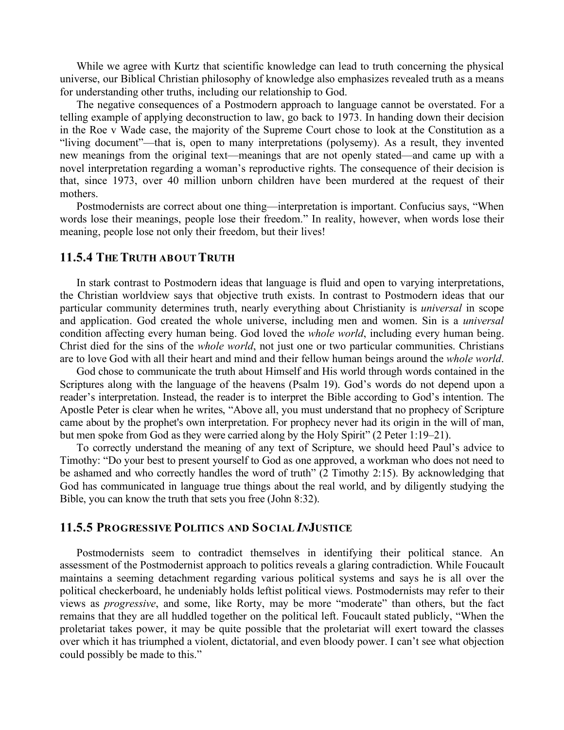While we agree with Kurtz that scientific knowledge can lead to truth concerning the physical universe, our Biblical Christian philosophy of knowledge also emphasizes revealed truth as a means for understanding other truths, including our relationship to God.

The negative consequences of a Postmodern approach to language cannot be overstated. For a telling example of applying deconstruction to law, go back to 1973. In handing down their decision in the Roe v Wade case, the majority of the Supreme Court chose to look at the Constitution as a "living document"—that is, open to many interpretations (polysemy). As a result, they invented new meanings from the original text—meanings that are not openly stated—and came up with a novel interpretation regarding a woman's reproductive rights. The consequence of their decision is that, since 1973, over 40 million unborn children have been murdered at the request of their mothers.

Postmodernists are correct about one thing—interpretation is important. Confucius says, "When words lose their meanings, people lose their freedom." In reality, however, when words lose their meaning, people lose not only their freedom, but their lives!

#### **11.5.4 THE TRUTH ABOUT TRUTH**

In stark contrast to Postmodern ideas that language is fluid and open to varying interpretations, the Christian worldview says that objective truth exists. In contrast to Postmodern ideas that our particular community determines truth, nearly everything about Christianity is *universal* in scope and application. God created the whole universe, including men and women. Sin is a *universal* condition affecting every human being. God loved the *whole world*, including every human being. Christ died for the sins of the *whole world*, not just one or two particular communities. Christians are to love God with all their heart and mind and their fellow human beings around the *whole world*.

God chose to communicate the truth about Himself and His world through words contained in the Scriptures along with the language of the heavens (Psalm 19). God's words do not depend upon a reader's interpretation. Instead, the reader is to interpret the Bible according to God's intention. The Apostle Peter is clear when he writes, "Above all, you must understand that no prophecy of Scripture came about by the prophet's own interpretation. For prophecy never had its origin in the will of man, but men spoke from God as they were carried along by the Holy Spirit" (2 Peter 1:19–21).

To correctly understand the meaning of any text of Scripture, we should heed Paul's advice to Timothy: "Do your best to present yourself to God as one approved, a workman who does not need to be ashamed and who correctly handles the word of truth" (2 Timothy 2:15). By acknowledging that God has communicated in language true things about the real world, and by diligently studying the Bible, you can know the truth that sets you free (John 8:32).

## **11.5.5 PROGRESSIVE POLITICS AND SOCIAL** *IN***JUSTICE**

Postmodernists seem to contradict themselves in identifying their political stance. An assessment of the Postmodernist approach to politics reveals a glaring contradiction. While Foucault maintains a seeming detachment regarding various political systems and says he is all over the political checkerboard, he undeniably holds leftist political views. Postmodernists may refer to their views as *progressive*, and some, like Rorty, may be more "moderate" than others, but the fact remains that they are all huddled together on the political left. Foucault stated publicly, "When the proletariat takes power, it may be quite possible that the proletariat will exert toward the classes over which it has triumphed a violent, dictatorial, and even bloody power. I can't see what objection could possibly be made to this."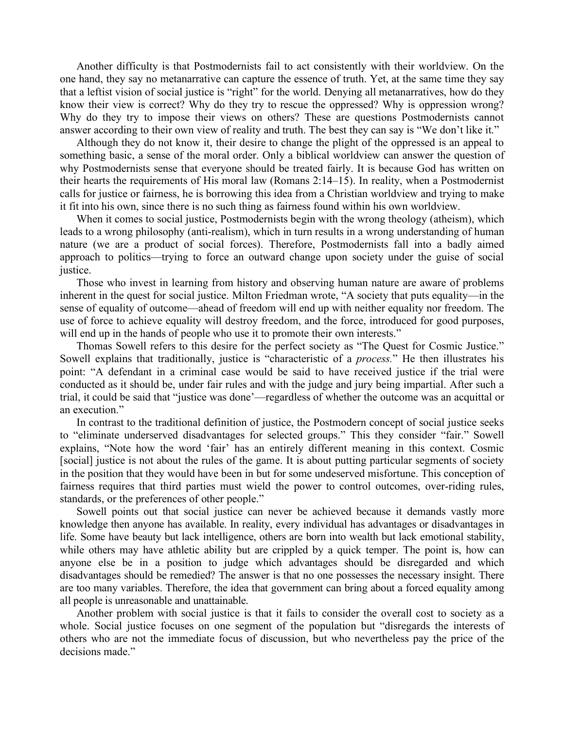Another difficulty is that Postmodernists fail to act consistently with their worldview. On the one hand, they say no metanarrative can capture the essence of truth. Yet, at the same time they say that a leftist vision of social justice is "right" for the world. Denying all metanarratives, how do they know their view is correct? Why do they try to rescue the oppressed? Why is oppression wrong? Why do they try to impose their views on others? These are questions Postmodernists cannot answer according to their own view of reality and truth. The best they can say is "We don't like it."

Although they do not know it, their desire to change the plight of the oppressed is an appeal to something basic, a sense of the moral order. Only a biblical worldview can answer the question of why Postmodernists sense that everyone should be treated fairly. It is because God has written on their hearts the requirements of His moral law (Romans 2:14–15). In reality, when a Postmodernist calls for justice or fairness, he is borrowing this idea from a Christian worldview and trying to make it fit into his own, since there is no such thing as fairness found within his own worldview.

When it comes to social justice, Postmodernists begin with the wrong theology (atheism), which leads to a wrong philosophy (anti-realism), which in turn results in a wrong understanding of human nature (we are a product of social forces). Therefore, Postmodernists fall into a badly aimed approach to politics—trying to force an outward change upon society under the guise of social justice.

Those who invest in learning from history and observing human nature are aware of problems inherent in the quest for social justice. Milton Friedman wrote, "A society that puts equality—in the sense of equality of outcome—ahead of freedom will end up with neither equality nor freedom. The use of force to achieve equality will destroy freedom, and the force, introduced for good purposes, will end up in the hands of people who use it to promote their own interests."

Thomas Sowell refers to this desire for the perfect society as "The Quest for Cosmic Justice." Sowell explains that traditionally, justice is "characteristic of a *process.*" He then illustrates his point: "A defendant in a criminal case would be said to have received justice if the trial were conducted as it should be, under fair rules and with the judge and jury being impartial. After such a trial, it could be said that "justice was done'—regardless of whether the outcome was an acquittal or an execution."

In contrast to the traditional definition of justice, the Postmodern concept of social justice seeks to "eliminate underserved disadvantages for selected groups." This they consider "fair." Sowell explains, "Note how the word 'fair' has an entirely different meaning in this context. Cosmic [social] justice is not about the rules of the game. It is about putting particular segments of society in the position that they would have been in but for some undeserved misfortune. This conception of fairness requires that third parties must wield the power to control outcomes, over-riding rules, standards, or the preferences of other people."

Sowell points out that social justice can never be achieved because it demands vastly more knowledge then anyone has available. In reality, every individual has advantages or disadvantages in life. Some have beauty but lack intelligence, others are born into wealth but lack emotional stability, while others may have athletic ability but are crippled by a quick temper. The point is, how can anyone else be in a position to judge which advantages should be disregarded and which disadvantages should be remedied? The answer is that no one possesses the necessary insight. There are too many variables. Therefore, the idea that government can bring about a forced equality among all people is unreasonable and unattainable.

Another problem with social justice is that it fails to consider the overall cost to society as a whole. Social justice focuses on one segment of the population but "disregards the interests of others who are not the immediate focus of discussion, but who nevertheless pay the price of the decisions made."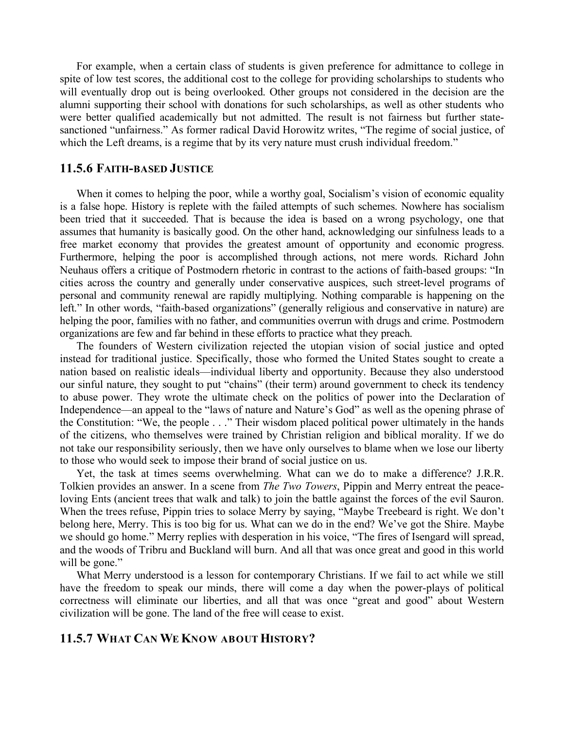For example, when a certain class of students is given preference for admittance to college in spite of low test scores, the additional cost to the college for providing scholarships to students who will eventually drop out is being overlooked. Other groups not considered in the decision are the alumni supporting their school with donations for such scholarships, as well as other students who were better qualified academically but not admitted. The result is not fairness but further statesanctioned "unfairness." As former radical David Horowitz writes, "The regime of social justice, of which the Left dreams, is a regime that by its very nature must crush individual freedom."

## **11.5.6 FAITH-BASED JUSTICE**

When it comes to helping the poor, while a worthy goal, Socialism's vision of economic equality is a false hope. History is replete with the failed attempts of such schemes. Nowhere has socialism been tried that it succeeded. That is because the idea is based on a wrong psychology, one that assumes that humanity is basically good. On the other hand, acknowledging our sinfulness leads to a free market economy that provides the greatest amount of opportunity and economic progress. Furthermore, helping the poor is accomplished through actions, not mere words. Richard John Neuhaus offers a critique of Postmodern rhetoric in contrast to the actions of faith-based groups: "In cities across the country and generally under conservative auspices, such street-level programs of personal and community renewal are rapidly multiplying. Nothing comparable is happening on the left." In other words, "faith-based organizations" (generally religious and conservative in nature) are helping the poor, families with no father, and communities overrun with drugs and crime. Postmodern organizations are few and far behind in these efforts to practice what they preach.

The founders of Western civilization rejected the utopian vision of social justice and opted instead for traditional justice. Specifically, those who formed the United States sought to create a nation based on realistic ideals—individual liberty and opportunity. Because they also understood our sinful nature, they sought to put "chains" (their term) around government to check its tendency to abuse power. They wrote the ultimate check on the politics of power into the Declaration of Independence—an appeal to the "laws of nature and Nature's God" as well as the opening phrase of the Constitution: "We, the people . . ." Their wisdom placed political power ultimately in the hands of the citizens, who themselves were trained by Christian religion and biblical morality. If we do not take our responsibility seriously, then we have only ourselves to blame when we lose our liberty to those who would seek to impose their brand of social justice on us.

Yet, the task at times seems overwhelming. What can we do to make a difference? J.R.R. Tolkien provides an answer. In a scene from *The Two Towers*, Pippin and Merry entreat the peaceloving Ents (ancient trees that walk and talk) to join the battle against the forces of the evil Sauron. When the trees refuse, Pippin tries to solace Merry by saying, "Maybe Treebeard is right. We don't belong here, Merry. This is too big for us. What can we do in the end? We've got the Shire. Maybe we should go home." Merry replies with desperation in his voice, "The fires of Isengard will spread, and the woods of Tribru and Buckland will burn. And all that was once great and good in this world will be gone."

What Merry understood is a lesson for contemporary Christians. If we fail to act while we still have the freedom to speak our minds, there will come a day when the power-plays of political correctness will eliminate our liberties, and all that was once "great and good" about Western civilization will be gone. The land of the free will cease to exist.

# **11.5.7 WHAT CAN WE KNOW ABOUT HISTORY?**